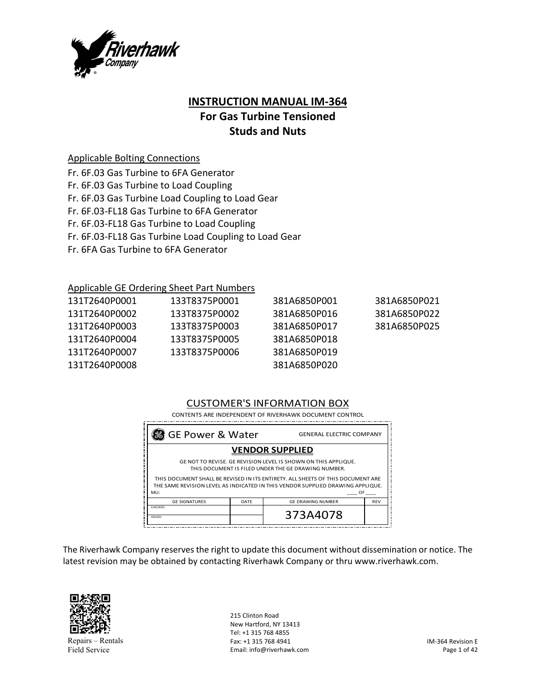

# **INSTRUCTION MANUAL IM‐364 For Gas Turbine Tensioned Studs and Nuts**

### Applicable Bolting Connections

- Fr. 6F.03 Gas Turbine to 6FA Generator
- Fr. 6F.03 Gas Turbine to Load Coupling
- Fr. 6F.03 Gas Turbine Load Coupling to Load Gear
- Fr. 6F.03‐FL18 Gas Turbine to 6FA Generator
- Fr. 6F.03‐FL18 Gas Turbine to Load Coupling
- Fr. 6F.03‐FL18 Gas Turbine Load Coupling to Load Gear
- Fr. 6FA Gas Turbine to 6FA Generator

### Applicable GE Ordering Sheet Part Numbers

| 131T2640P0001 | 133T8375P0001 | 381A6850P001 | 381A6850P021 |
|---------------|---------------|--------------|--------------|
| 131T2640P0002 | 133T8375P0002 | 381A6850P016 | 381A6850P022 |
| 131T2640P0003 | 133T8375P0003 | 381A6850P017 | 381A6850P025 |
| 131T2640P0004 | 133T8375P0005 | 381A6850P018 |              |
| 131T2640P0007 | 133T8375P0006 | 381A6850P019 |              |
| 131T2640P0008 |               | 381A6850P020 |              |

## CUSTOMER'S INFORMATION BOX

| 88 GE Power & Water<br><b>GENERAL ELECTRIC COMPANY</b>                                                                                                                          |      |                          |            |  |
|---------------------------------------------------------------------------------------------------------------------------------------------------------------------------------|------|--------------------------|------------|--|
| <b>VENDOR SUPPLIED</b>                                                                                                                                                          |      |                          |            |  |
| GE NOT TO REVISE. GE REVISION LEVEL IS SHOWN ON THIS APPLIQUE.<br>THIS DOCUMENT IS FILED UNDER THE GE DRAWING NUMBER.                                                           |      |                          |            |  |
| THIS DOCUMENT SHALL BE REVISED IN ITS ENTIRETY. ALL SHEETS OF THIS DOCUMENT ARE<br>THE SAME REVISION LEVEL AS INDICATED IN THIS VENDOR SUPPLIED DRAWING APPLIQUE.<br>MLI:<br>OF |      |                          |            |  |
|                                                                                                                                                                                 |      |                          |            |  |
| <b>GE SIGNATURES</b>                                                                                                                                                            | DATE | <b>GE DRAWING NUMBER</b> | <b>REV</b> |  |

The Riverhawk Company reserves the right to update this document without dissemination or notice. The latest revision may be obtained by contacting Riverhawk Company or thru www.riverhawk.com.



Repairs – Rentals Field Service

215 Clinton Road New Hartford, NY 13413 Tel: +1 315 768 4855 Fax: +1 315 768 4941 Email: info@riverhawk.com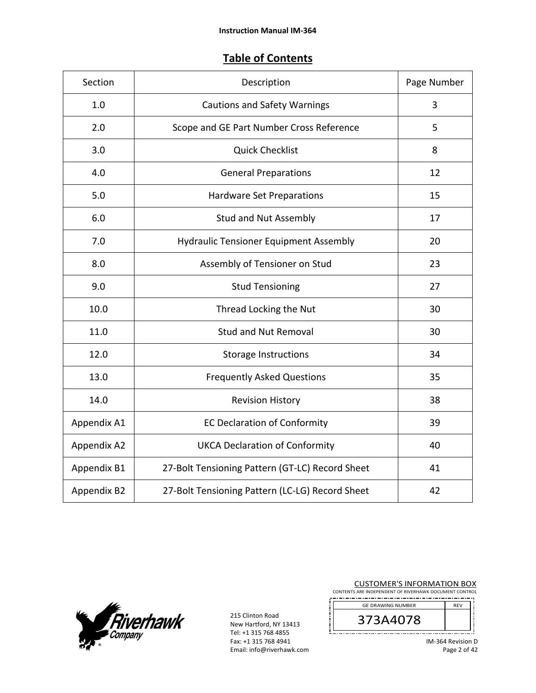# **Table of Contents**

| Section     | Description                                     | Page Number    |
|-------------|-------------------------------------------------|----------------|
| 1.0         | <b>Cautions and Safety Warnings</b>             | $\overline{3}$ |
| 2.0         | Scope and GE Part Number Cross Reference        | 5              |
| 3.0         | <b>Quick Checklist</b>                          | 8              |
| 4.0         | <b>General Preparations</b>                     | 12             |
| 5.0         | Hardware Set Preparations                       | 15             |
| 6.0         | <b>Stud and Nut Assembly</b>                    | 17             |
| 7.0         | <b>Hydraulic Tensioner Equipment Assembly</b>   | 20             |
| 8.0         | Assembly of Tensioner on Stud                   | 23             |
| 9.0         | <b>Stud Tensioning</b>                          | 27             |
| 10.0        | Thread Locking the Nut                          | 30             |
| 11.0        | <b>Stud and Nut Removal</b>                     | 30             |
| 12.0        | <b>Storage Instructions</b>                     | 34             |
| 13.0        | <b>Frequently Asked Questions</b>               | 35             |
| 14.0        | <b>Revision History</b>                         | 38             |
| Appendix A1 | <b>EC Declaration of Conformity</b>             | 39             |
| Appendix A2 | <b>UKCA Declaration of Conformity</b>           | 40             |
| Appendix B1 | 27-Bolt Tensioning Pattern (GT-LC) Record Sheet | 41             |
| Appendix B2 | 27-Bolt Tensioning Pattern (LC-LG) Record Sheet | 42             |



215 Clinton Road New Hartford, NY 13413 Tel: +1 315 768 4855 Fax: +1 315 768 4941 Email: info@riverhawk.com

| <b>CUSTOMER'S INFORMATION BOX</b>                      |  |
|--------------------------------------------------------|--|
| CONTENTS ARE INDEPENDENT OF RIVERHAWK DOCUMENT CONTROL |  |
|                                                        |  |

| <b>GE DRAWING NUMBER</b> | <b>REV</b> |
|--------------------------|------------|
| /3A4078                  |            |
|                          |            |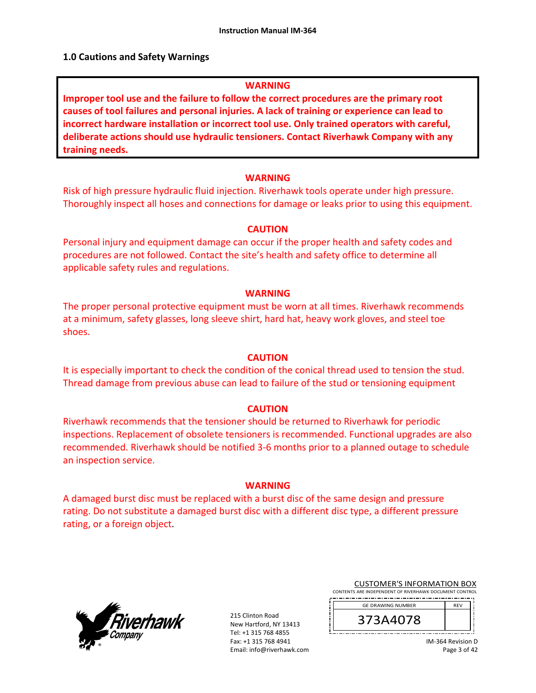#### **1.0 Cautions and Safety Warnings**

#### **WARNING**

**Improper tool use and the failure to follow the correct procedures are the primary root causes of tool failures and personal injuries. A lack of training or experience can lead to incorrect hardware installation or incorrect tool use. Only trained operators with careful, deliberate actions should use hydraulic tensioners. Contact Riverhawk Company with any training needs.** 

#### **WARNING**

Risk of high pressure hydraulic fluid injection. Riverhawk tools operate under high pressure. Thoroughly inspect all hoses and connections for damage or leaks prior to using this equipment.

#### **CAUTION**

Personal injury and equipment damage can occur if the proper health and safety codes and procedures are not followed. Contact the site's health and safety office to determine all applicable safety rules and regulations.

#### **WARNING**

The proper personal protective equipment must be worn at all times. Riverhawk recommends at a minimum, safety glasses, long sleeve shirt, hard hat, heavy work gloves, and steel toe shoes.

#### **CAUTION**

It is especially important to check the condition of the conical thread used to tension the stud. Thread damage from previous abuse can lead to failure of the stud or tensioning equipment

#### **CAUTION**

Riverhawk recommends that the tensioner should be returned to Riverhawk for periodic inspections. Replacement of obsolete tensioners is recommended. Functional upgrades are also recommended. Riverhawk should be notified 3‐6 months prior to a planned outage to schedule an inspection service.

#### **WARNING**

A damaged burst disc must be replaced with a burst disc of the same design and pressure rating. Do not substitute a damaged burst disc with a different disc type, a different pressure rating, or a foreign object.



215 Clinton Road New Hartford, NY 13413 Tel: +1 315 768 4855 Fax: +1 315 768 4941 Email: info@riverhawk.com

| <b>CUSTOMER'S INFORMATION BOX</b>                      |  |  |
|--------------------------------------------------------|--|--|
| CONTENTS ARE INDEPENDENT OF RIVERHAWK DOCUMENT CONTROL |  |  |

| <b>GE DRAWING NUMBER</b> | <b>RFV</b> |  |
|--------------------------|------------|--|
| 3A4U/8<br>⊐              |            |  |
|                          |            |  |

IM‐364 Revision D Page 3 of 42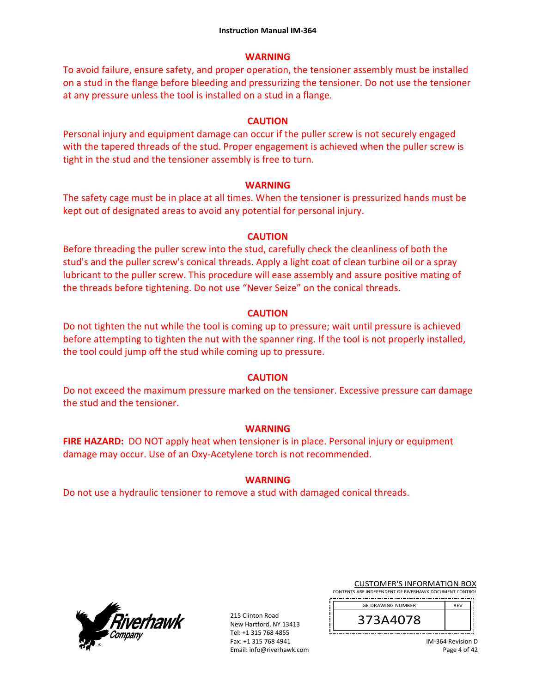### **WARNING**

To avoid failure, ensure safety, and proper operation, the tensioner assembly must be installed on a stud in the flange before bleeding and pressurizing the tensioner. Do not use the tensioner at any pressure unless the tool is installed on a stud in a flange.

### **CAUTION**

Personal injury and equipment damage can occur if the puller screw is not securely engaged with the tapered threads of the stud. Proper engagement is achieved when the puller screw is tight in the stud and the tensioner assembly is free to turn.

### **WARNING**

The safety cage must be in place at all times. When the tensioner is pressurized hands must be kept out of designated areas to avoid any potential for personal injury.

### **CAUTION**

Before threading the puller screw into the stud, carefully check the cleanliness of both the stud's and the puller screw's conical threads. Apply a light coat of clean turbine oil or a spray lubricant to the puller screw. This procedure will ease assembly and assure positive mating of the threads before tightening. Do not use "Never Seize" on the conical threads.

### **CAUTION**

Do not tighten the nut while the tool is coming up to pressure; wait until pressure is achieved before attempting to tighten the nut with the spanner ring. If the tool is not properly installed, the tool could jump off the stud while coming up to pressure.

## **CAUTION**

Do not exceed the maximum pressure marked on the tensioner. Excessive pressure can damage the stud and the tensioner.

### **WARNING**

**FIRE HAZARD:** DO NOT apply heat when tensioner is in place. Personal injury or equipment damage may occur. Use of an Oxy‐Acetylene torch is not recommended.

## **WARNING**

Do not use a hydraulic tensioner to remove a stud with damaged conical threads.



215 Clinton Road New Hartford, NY 13413 Tel: +1 315 768 4855 Fax: +1 315 768 4941 Email: info@riverhawk.com

|  |  | <b>CUSTOMER'S INFORMATION BOX</b>                                                                                                                                                                                               |  |  |  |  |  |  |
|--|--|---------------------------------------------------------------------------------------------------------------------------------------------------------------------------------------------------------------------------------|--|--|--|--|--|--|
|  |  | $\sim$ . A set in the second start of a bit is an interior and in the second of the second second second second second second second second second second second second second second second second second second second second |  |  |  |  |  |  |

CONTENTS ARE INDEPENDENT OF RIVERHAWK DOC 

| <b>GE DRAWING NUMBER</b> | <b>RFV</b> |
|--------------------------|------------|
| 4078<br>z                |            |
|                          |            |

IM‐364 Revision D Page 4 of 42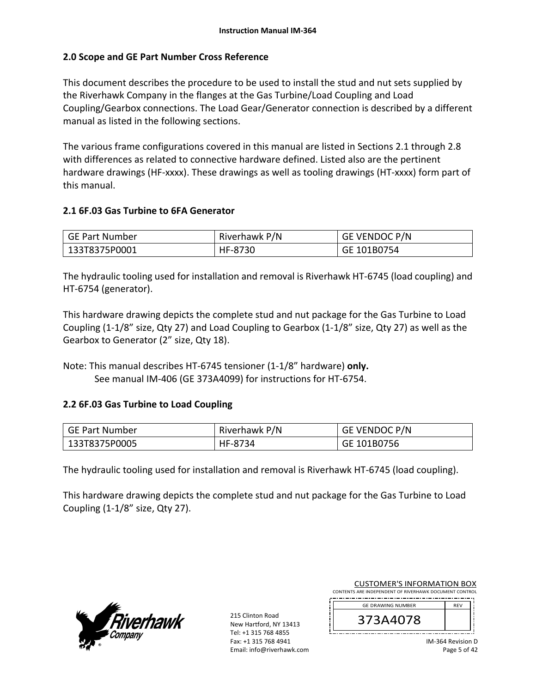### **2.0 Scope and GE Part Number Cross Reference**

This document describes the procedure to be used to install the stud and nut sets supplied by the Riverhawk Company in the flanges at the Gas Turbine/Load Coupling and Load Coupling/Gearbox connections. The Load Gear/Generator connection is described by a different manual as listed in the following sections.

The various frame configurations covered in this manual are listed in Sections 2.1 through 2.8 with differences as related to connective hardware defined. Listed also are the pertinent hardware drawings (HF-xxxx). These drawings as well as tooling drawings (HT-xxxx) form part of this manual.

### **2.1 6F.03 Gas Turbine to 6FA Generator**

| GE Part Number | Riverhawk P/N | <b>GE VENDOC P/N</b> |
|----------------|---------------|----------------------|
| 133T8375P0001  | HF-8730       | GE 101B0754          |

The hydraulic tooling used for installation and removal is Riverhawk HT‐6745 (load coupling) and HT‐6754 (generator).

This hardware drawing depicts the complete stud and nut package for the Gas Turbine to Load Coupling (1‐1/8" size, Qty 27) and Load Coupling to Gearbox (1‐1/8" size, Qty 27) as well as the Gearbox to Generator (2" size, Qty 18).

Note: This manual describes HT‐6745 tensioner (1‐1/8" hardware) **only.** See manual IM‐406 (GE 373A4099) for instructions for HT‐6754.

### **2.2 6F.03 Gas Turbine to Load Coupling**

| GE Part Number | Riverhawk P/N | GE VENDOC P/N |
|----------------|---------------|---------------|
| 133T8375P0005  | HF-8734       | GE 101B0756   |

The hydraulic tooling used for installation and removal is Riverhawk HT‐6745 (load coupling).

This hardware drawing depicts the complete stud and nut package for the Gas Turbine to Load Coupling (1‐1/8" size, Qty 27).



215 Clinton Road New Hartford, NY 13413 Tel: +1 315 768 4855 Fax: +1 315 768 4941 Email: info@riverhawk.com

| <b>CUSTOMER'S INFORMATION BOX</b>                      |            |
|--------------------------------------------------------|------------|
| CONTENTS ARE INDEPENDENT OF RIVERHAWK DOCUMENT CONTROL |            |
| <b>GE DRAWING NUMBER</b>                               | <b>RFV</b> |
|                                                        |            |
| 373A4078                                               |            |
|                                                        |            |

IM‐364 Revision D Page 5 of 42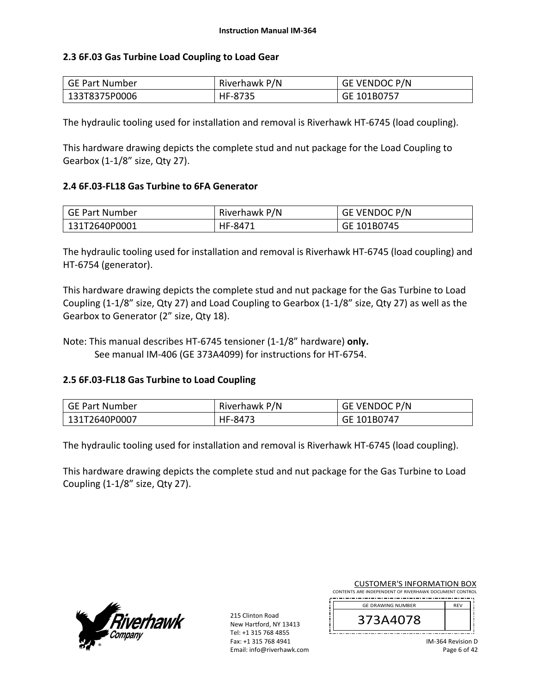### **2.3 6F.03 Gas Turbine Load Coupling to Load Gear**

| GE Part Number | Riverhawk P/N | <b>GE VENDOC P/N</b> |
|----------------|---------------|----------------------|
| 133T8375P0006  | HF-8735       | GE 101B0757          |

The hydraulic tooling used for installation and removal is Riverhawk HT‐6745 (load coupling).

This hardware drawing depicts the complete stud and nut package for the Load Coupling to Gearbox (1‐1/8" size, Qty 27).

### **2.4 6F.03‐FL18 Gas Turbine to 6FA Generator**

| GE Part Number | Riverhawk P/N | <b>GE VENDOC P/N</b> |
|----------------|---------------|----------------------|
| 131T2640P0001  | HF-8471       | GE 101B0745          |

The hydraulic tooling used for installation and removal is Riverhawk HT‐6745 (load coupling) and HT‐6754 (generator).

This hardware drawing depicts the complete stud and nut package for the Gas Turbine to Load Coupling (1‐1/8" size, Qty 27) and Load Coupling to Gearbox (1‐1/8" size, Qty 27) as well as the Gearbox to Generator (2" size, Qty 18).

Note: This manual describes HT‐6745 tensioner (1‐1/8" hardware) **only.** See manual IM‐406 (GE 373A4099) for instructions for HT‐6754.

## **2.5 6F.03‐FL18 Gas Turbine to Load Coupling**

| GE Part Number | Riverhawk P/N | GE VENDOC P/N |
|----------------|---------------|---------------|
| 131T2640P0007  | HF-8473       | GE 101B0747   |

The hydraulic tooling used for installation and removal is Riverhawk HT‐6745 (load coupling).

This hardware drawing depicts the complete stud and nut package for the Gas Turbine to Load Coupling (1‐1/8" size, Qty 27).



215 Clinton Road New Hartford, NY 13413 Tel: +1 315 768 4855 Fax: +1 315 768 4941 Email: info@riverhawk.com

| <b>CUSTOMER'S INFORMATION BOX</b>                      |            |  |
|--------------------------------------------------------|------------|--|
| CONTENTS ARE INDEPENDENT OF RIVERHAWK DOCUMENT CONTROL |            |  |
| <b>GE DRAWING NUMBER</b>                               | <b>RFV</b> |  |
|                                                        |            |  |

| <b>A4U/8</b><br>ш. |                   |  |
|--------------------|-------------------|--|
|                    | IM-364 Revision I |  |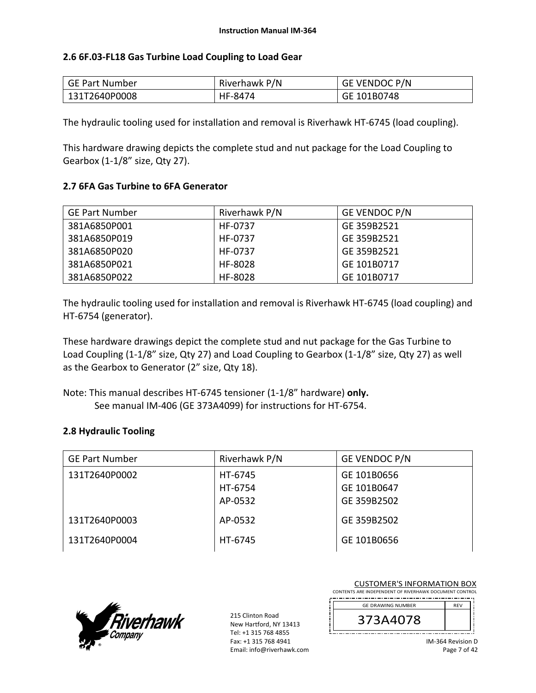### **2.6 6F.03‐FL18 Gas Turbine Load Coupling to Load Gear**

| GE Part Number | Riverhawk P/N | <b>GE VENDOC P/N</b> |
|----------------|---------------|----------------------|
| 131T2640P0008  | HF-8474       | GE 101B0748          |

The hydraulic tooling used for installation and removal is Riverhawk HT‐6745 (load coupling).

This hardware drawing depicts the complete stud and nut package for the Load Coupling to Gearbox (1‐1/8" size, Qty 27).

### **2.7 6FA Gas Turbine to 6FA Generator**

| <b>GE Part Number</b> | Riverhawk P/N | <b>GE VENDOC P/N</b> |
|-----------------------|---------------|----------------------|
| 381A6850P001          | HF-0737       | GE 359B2521          |
| 381A6850P019          | HF-0737       | GE 359B2521          |
| 381A6850P020          | HF-0737       | GE 359B2521          |
| 381A6850P021          | HF-8028       | GE 101B0717          |
| 381A6850P022          | HF-8028       | GE 101B0717          |

The hydraulic tooling used for installation and removal is Riverhawk HT‐6745 (load coupling) and HT‐6754 (generator).

These hardware drawings depict the complete stud and nut package for the Gas Turbine to Load Coupling (1‐1/8" size, Qty 27) and Load Coupling to Gearbox (1‐1/8" size, Qty 27) as well as the Gearbox to Generator (2" size, Qty 18).

Note: This manual describes HT‐6745 tensioner (1‐1/8" hardware) **only.** See manual IM‐406 (GE 373A4099) for instructions for HT‐6754.

## **2.8 Hydraulic Tooling**

| <b>GE Part Number</b> | Riverhawk P/N | <b>GE VENDOC P/N</b> |
|-----------------------|---------------|----------------------|
| 131T2640P0002         | HT-6745       | GE 101B0656          |
|                       | HT-6754       | GE 101B0647          |
|                       | AP-0532       | GE 359B2502          |
| 131T2640P0003         | AP-0532       | GE 359B2502          |
| 131T2640P0004         | HT-6745       | GE 101B0656          |



215 Clinton Road New Hartford, NY 13413 Tel: +1 315 768 4855 Fax: +1 315 768 4941 Email: info@riverhawk.com

| CONTENTS ARE INDEPENDENT OF RIVERHAWK DOCUMENT CONTROL |            |
|--------------------------------------------------------|------------|
| <b>GE DRAWING NUMBER</b>                               | <b>RFV</b> |
| 373A4078                                               |            |
|                                                        |            |

CUSTOMER'S INFORMATION BOX

IM‐364 Revision D Page 7 of 42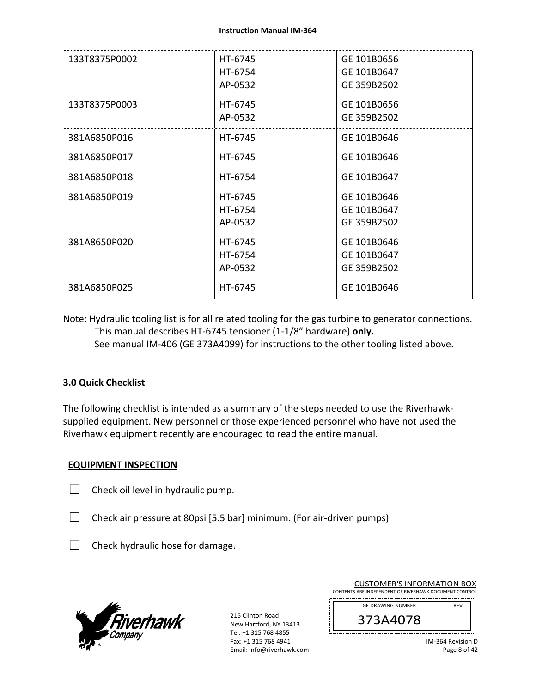| 133T8375P0002 | HT-6745 | GE 101B0656 |
|---------------|---------|-------------|
|               | HT-6754 | GE 101B0647 |
|               | AP-0532 | GE 359B2502 |
| 133T8375P0003 | HT-6745 | GE 101B0656 |
|               | AP-0532 | GE 359B2502 |
| 381A6850P016  | HT-6745 | GE 101B0646 |
| 381A6850P017  | HT-6745 | GE 101B0646 |
| 381A6850P018  | HT-6754 | GE 101B0647 |
| 381A6850P019  | HT-6745 | GE 101B0646 |
|               | HT-6754 | GE 101B0647 |
|               | AP-0532 | GE 359B2502 |
| 381A8650P020  | HT-6745 | GE 101B0646 |
|               | HT-6754 | GE 101B0647 |
|               | AP-0532 | GE 359B2502 |
| 381A6850P025  | HT-6745 | GE 101B0646 |

Note: Hydraulic tooling list is for all related tooling for the gas turbine to generator connections. This manual describes HT‐6745 tensioner (1‐1/8" hardware) **only.** See manual IM‐406 (GE 373A4099) for instructions to the other tooling listed above.

## **3.0 Quick Checklist**

The following checklist is intended as a summary of the steps needed to use the Riverhawk‐ supplied equipment. New personnel or those experienced personnel who have not used the Riverhawk equipment recently are encouraged to read the entire manual.

### **EQUIPMENT INSPECTION**

 $\Box$  Check oil level in hydraulic pump.

□ Check air pressure at 80psi [5.5 bar] minimum. (For air-driven pumps)

 $\Box$  Check hydraulic hose for damage.



215 Clinton Road New Hartford, NY 13413 Tel: +1 315 768 4855 Fax: +1 315 768 4941 Email: info@riverhawk.com

| CONTENTS ARE INDEPENDENT OF RIVERHAWK DOCUMENT CONTROL |            |
|--------------------------------------------------------|------------|
| <b>GE DRAWING NUMBER</b>                               | <b>RFV</b> |
| 373A4078                                               |            |
|                                                        |            |

CUSTOMER'S INFORMATION BOX

IM‐364 Revision D Page 8 of 42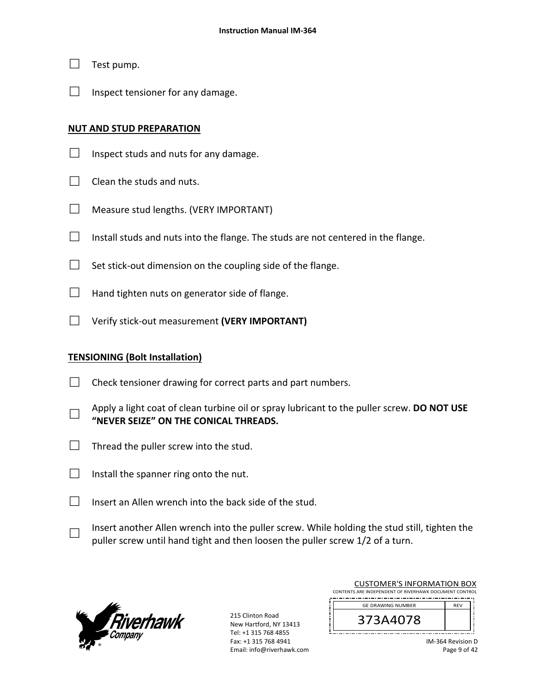- $\Box$  Test pump.
- $\Box$  Inspect tensioner for any damage.

#### **NUT AND STUD PREPARATION**

- $\Box$  Inspect studs and nuts for any damage.
- $\Box$  Clean the studs and nuts.
- □ Measure stud lengths. (VERY IMPORTANT)
- $\Box$  Install studs and nuts into the flange. The studs are not centered in the flange.
- $\Box$  Set stick-out dimension on the coupling side of the flange.
- $\Box$  Hand tighten nuts on generator side of flange.
- □ Verify stick‐out measurement **(VERY IMPORTANT)**

### **TENSIONING (Bolt Installation)**

- $\Box$  Check tensioner drawing for correct parts and part numbers.
- □ Apply a light coat of clean turbine oil or spray lubricant to the puller screw. **DO NOT USE "NEVER SEIZE" ON THE CONICAL THREADS.**
- $\Box$  Thread the puller screw into the stud.
- $\Box$  Install the spanner ring onto the nut.
- $\Box$  Insert an Allen wrench into the back side of the stud.
- □ Insert another Allen wrench into the puller screw. While holding the stud still, tighten the puller screw until hand tight and then loosen the puller screw 1/2 of a turn.



215 Clinton Road New Hartford, NY 13413 Tel: +1 315 768 4855 Fax: +1 315 768 4941 Email: info@riverhawk.com

|            | CONTENTS ARE INDEPENDENT OF RIVERHAWK DOCUMENT CONTROL |
|------------|--------------------------------------------------------|
| <b>RFV</b> |                                                        |
|            |                                                        |
|            |                                                        |

CUSTOMER'S INFORMATION BOX

IM‐364 Revision D Page 9 of 42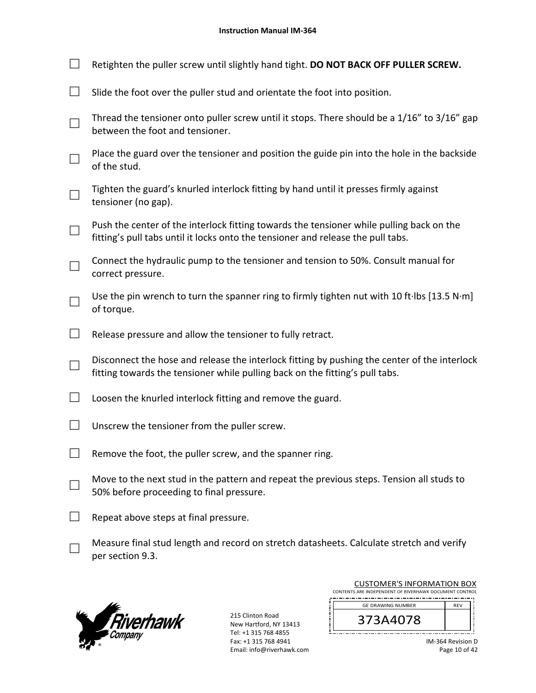|  | Retighten the puller screw until slightly hand tight. DO NOT BACK OFF PULLER SCREW.                                                                                          |
|--|------------------------------------------------------------------------------------------------------------------------------------------------------------------------------|
|  | Slide the foot over the puller stud and orientate the foot into position.                                                                                                    |
|  | Thread the tensioner onto puller screw until it stops. There should be a 1/16" to 3/16" gap<br>between the foot and tensioner.                                               |
|  | Place the guard over the tensioner and position the guide pin into the hole in the backside<br>of the stud.                                                                  |
|  | Tighten the guard's knurled interlock fitting by hand until it presses firmly against<br>tensioner (no gap).                                                                 |
|  | Push the center of the interlock fitting towards the tensioner while pulling back on the<br>fitting's pull tabs until it locks onto the tensioner and release the pull tabs. |
|  | Connect the hydraulic pump to the tensioner and tension to 50%. Consult manual for<br>correct pressure.                                                                      |
|  | Use the pin wrench to turn the spanner ring to firmly tighten nut with 10 ft lbs [13.5 N·m]<br>of torque.                                                                    |
|  | Release pressure and allow the tensioner to fully retract.                                                                                                                   |
|  | Disconnect the hose and release the interlock fitting by pushing the center of the interlock<br>fitting towards the tensioner while pulling back on the fitting's pull tabs. |
|  | Loosen the knurled interlock fitting and remove the guard.                                                                                                                   |
|  | Unscrew the tensioner from the puller screw.                                                                                                                                 |
|  | Remove the foot, the puller screw, and the spanner ring.                                                                                                                     |
|  | Move to the next stud in the pattern and repeat the previous steps. Tension all studs to<br>50% before proceeding to final pressure.                                         |
|  | Repeat above steps at final pressure.                                                                                                                                        |
|  |                                                                                                                                                                              |

□ Measure final stud length and record on stretch datasheets. Calculate stretch and verify per section 9.3.



215 Clinton Road New Hartford, NY 13413 Tel: +1 315 768 4855 Fax: +1 315 768 4941 Email: info@riverhawk.com

įL

| <b>CUSTOMER'S INFORMATION BOX</b>                      |            |
|--------------------------------------------------------|------------|
| CONTENTS ARE INDEPENDENT OF RIVERHAWK DOCUMENT CONTROL |            |
| <b>GE DRAWING NUMBER</b>                               | <b>RFV</b> |
| 373A4078                                               |            |

| IM-364 Revision D |  |  |
|-------------------|--|--|
| Page 10 of 42     |  |  |

li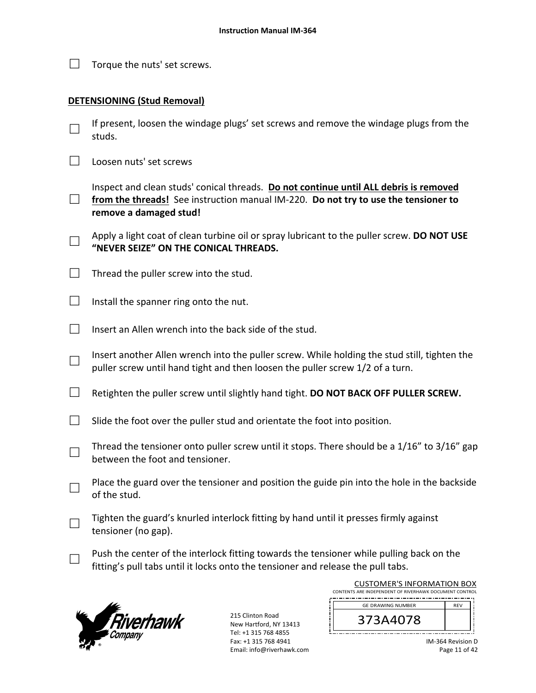| Torque the nuts' set screws. |
|------------------------------|
|                              |

### **DETENSIONING (Stud Removal)**

- □ If present, loosen the windage plugs' set screws and remove the windage plugs from the studs.
- $\Box$  Loosen nuts' set screws
- □ from the threads! See instruction manual IM-220. **Do not try to use the tensioner to** Inspect and clean studs' conical threads. **Do not continue until ALL debris is removed remove a damaged stud!**
- □ Apply a light coat of clean turbine oil or spray lubricant to the puller screw. **DO NOT USE "NEVER SEIZE" ON THE CONICAL THREADS.**
- $\Box$  Thread the puller screw into the stud.
- $\Box$  Install the spanner ring onto the nut.
- $\Box$  Insert an Allen wrench into the back side of the stud.
- □ Insert another Allen wrench into the puller screw. While holding the stud still, tighten the puller screw until hand tight and then loosen the puller screw 1/2 of a turn.
- □ Retighten the puller screw until slightly hand tight. **DO NOT BACK OFF PULLER SCREW.**
- $\Box$  Slide the foot over the puller stud and orientate the foot into position.
- □ Thread the tensioner onto puller screw until it stops. There should be a 1/16" to 3/16" gap between the foot and tensioner.
- □ Place the guard over the tensioner and position the guide pin into the hole in the backside of the stud.
- □ Tighten the guard's knurled interlock fitting by hand until it presses firmly against tensioner (no gap).
	- Push the center of the interlock fitting towards the tensioner while pulling back on the fitting's pull tabs until it locks onto the tensioner and release the pull tabs.



□

215 Clinton Road New Hartford, NY 13413 Tel: +1 315 768 4855 Fax: +1 315 768 4941 Email: info@riverhawk.com

| CONTENTS ARE INDEPENDENT OF RIVERHAWK DOCUMENT CONTROL |            |  |  |
|--------------------------------------------------------|------------|--|--|
| <b>GE DRAWING NUMBER</b>                               | <b>RFV</b> |  |  |
| 373A4078                                               |            |  |  |

CUSTOMER'S INFORMATION BOX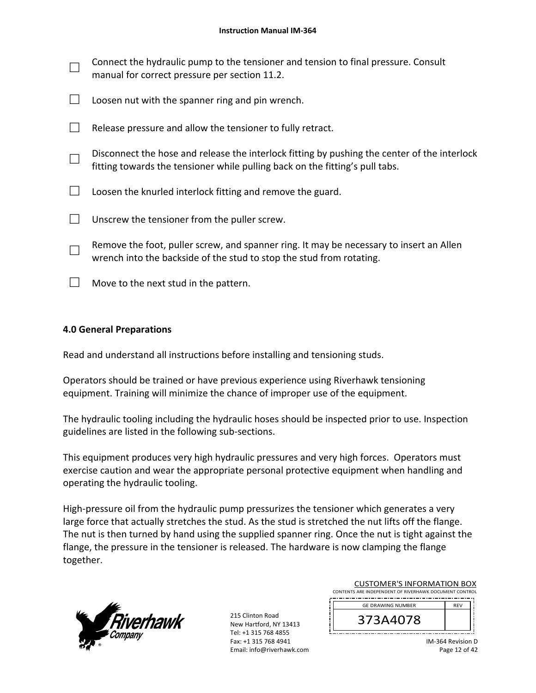| $\Box$ | Connect the hydraulic pump to the tensioner and tension to final pressure. Consult<br>manual for correct pressure per section 11.2.                                          |
|--------|------------------------------------------------------------------------------------------------------------------------------------------------------------------------------|
|        | Loosen nut with the spanner ring and pin wrench.                                                                                                                             |
|        | Release pressure and allow the tensioner to fully retract.                                                                                                                   |
|        | Disconnect the hose and release the interlock fitting by pushing the center of the interlock<br>fitting towards the tensioner while pulling back on the fitting's pull tabs. |
|        | Loosen the knurled interlock fitting and remove the guard.                                                                                                                   |
|        | Unscrew the tensioner from the puller screw.                                                                                                                                 |

- □ Remove the foot, puller screw, and spanner ring. It may be necessary to insert an Allen wrench into the backside of the stud to stop the stud from rotating.
- $\Box$  Move to the next stud in the pattern.

## **4.0 General Preparations**

Read and understand all instructions before installing and tensioning studs.

Operators should be trained or have previous experience using Riverhawk tensioning equipment. Training will minimize the chance of improper use of the equipment.

The hydraulic tooling including the hydraulic hoses should be inspected prior to use. Inspection guidelines are listed in the following sub‐sections.

This equipment produces very high hydraulic pressures and very high forces. Operators must exercise caution and wear the appropriate personal protective equipment when handling and operating the hydraulic tooling.

High-pressure oil from the hydraulic pump pressurizes the tensioner which generates a very large force that actually stretches the stud. As the stud is stretched the nut lifts off the flange. The nut is then turned by hand using the supplied spanner ring. Once the nut is tight against the flange, the pressure in the tensioner is released. The hardware is now clamping the flange together.



215 Clinton Road New Hartford, NY 13413 Tel: +1 315 768 4855 Fax: +1 315 768 4941 Email: info@riverhawk.com

| CONTENTS ARE INDEPENDENT OF RIVERHAWK DOCUMENT CONTROL |            |  |
|--------------------------------------------------------|------------|--|
| <b>GE DRAWING NUMBER</b>                               | <b>RFV</b> |  |
| 373A4078                                               |            |  |

CUSTOMER'S INFORMATION BOX

IM‐364 Revision D Page 12 of 42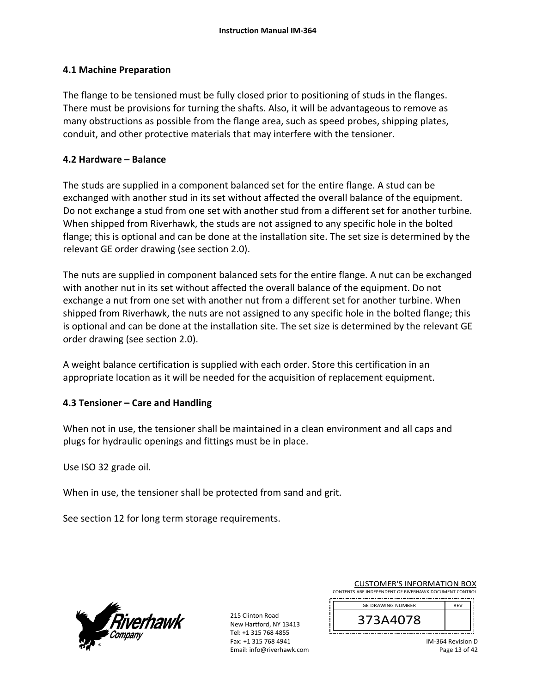### **4.1 Machine Preparation**

The flange to be tensioned must be fully closed prior to positioning of studs in the flanges. There must be provisions for turning the shafts. Also, it will be advantageous to remove as many obstructions as possible from the flange area, such as speed probes, shipping plates, conduit, and other protective materials that may interfere with the tensioner.

### **4.2 Hardware – Balance**

The studs are supplied in a component balanced set for the entire flange. A stud can be exchanged with another stud in its set without affected the overall balance of the equipment. Do not exchange a stud from one set with another stud from a different set for another turbine. When shipped from Riverhawk, the studs are not assigned to any specific hole in the bolted flange; this is optional and can be done at the installation site. The set size is determined by the relevant GE order drawing (see section 2.0).

The nuts are supplied in component balanced sets for the entire flange. A nut can be exchanged with another nut in its set without affected the overall balance of the equipment. Do not exchange a nut from one set with another nut from a different set for another turbine. When shipped from Riverhawk, the nuts are not assigned to any specific hole in the bolted flange; this is optional and can be done at the installation site. The set size is determined by the relevant GE order drawing (see section 2.0).

A weight balance certification is supplied with each order. Store this certification in an appropriate location as it will be needed for the acquisition of replacement equipment.

## **4.3 Tensioner – Care and Handling**

When not in use, the tensioner shall be maintained in a clean environment and all caps and plugs for hydraulic openings and fittings must be in place.

Use ISO 32 grade oil.

When in use, the tensioner shall be protected from sand and grit.

See section 12 for long term storage requirements.



215 Clinton Road New Hartford, NY 13413 Tel: +1 315 768 4855 Fax: +1 315 768 4941 Email: info@riverhawk.com

| CONTENTS ARE INDEPENDENT OF RIVERHAWK DOCUMENT CONTROL |            |  |
|--------------------------------------------------------|------------|--|
|                                                        |            |  |
| <b>GE DRAWING NUMBER</b>                               | <b>RFV</b> |  |
| 373A4078                                               |            |  |

CUSTOMER'S INFORMATION BOX

IM‐364 Revision D Page 13 of 42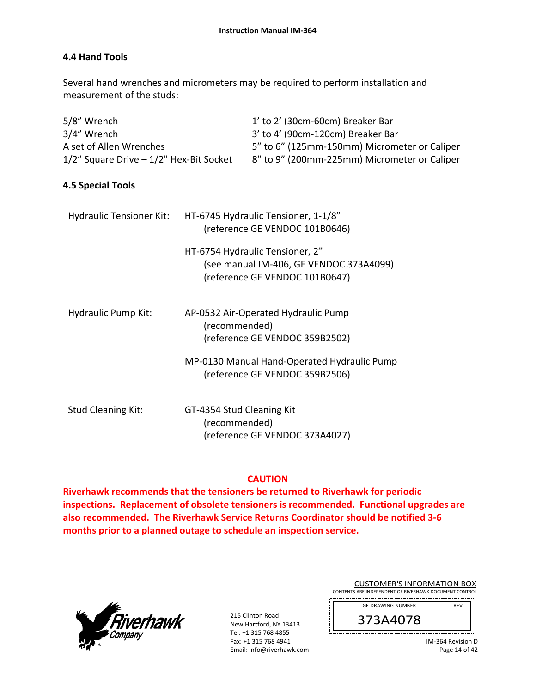## **4.4 Hand Tools**

Several hand wrenches and micrometers may be required to perform installation and measurement of the studs:

| 5/8" Wrench                                  |               | 1' to 2' (30cm-60cm) Breaker Bar                                                                             |
|----------------------------------------------|---------------|--------------------------------------------------------------------------------------------------------------|
| 3/4" Wrench                                  |               | 3' to 4' (90cm-120cm) Breaker Bar                                                                            |
| A set of Allen Wrenches                      |               | 5" to 6" (125mm-150mm) Micrometer or Caliper                                                                 |
| $1/2$ " Square Drive $-1/2$ " Hex-Bit Socket |               | 8" to 9" (200mm-225mm) Micrometer or Caliper                                                                 |
| 4.5 Special Tools                            |               |                                                                                                              |
| Hydraulic Tensioner Kit:                     |               | HT-6745 Hydraulic Tensioner, 1-1/8"<br>(reference GE VENDOC 101B0646)                                        |
|                                              |               | HT-6754 Hydraulic Tensioner, 2"<br>(see manual IM-406, GE VENDOC 373A4099)<br>(reference GE VENDOC 101B0647) |
| Hydraulic Pump Kit:                          | (recommended) | AP-0532 Air-Operated Hydraulic Pump<br>(reference GE VENDOC 359B2502)                                        |
|                                              |               | MP-0130 Manual Hand-Operated Hydraulic Pump                                                                  |

(reference GE VENDOC 359B2506)

| <b>Stud Cleaning Kit:</b> | GT-4354 Stud Cleaning Kit      |
|---------------------------|--------------------------------|
|                           | (recommended)                  |
|                           | (reference GE VENDOC 373A4027) |

## **CAUTION**

**Riverhawk recommends that the tensioners be returned to Riverhawk for periodic inspections. Replacement of obsolete tensioners is recommended. Functional upgrades are also recommended. The Riverhawk Service Returns Coordinator should be notified 3‐6 months prior to a planned outage to schedule an inspection service.** 



215 Clinton Road New Hartford, NY 13413 Tel: +1 315 768 4855 Fax: +1 315 768 4941 Email: info@riverhawk.com

| <b>CUSTOMER'S INFORMATION BOX</b>                      |            |  |
|--------------------------------------------------------|------------|--|
| CONTENTS ARE INDEPENDENT OF RIVERHAWK DOCUMENT CONTROL |            |  |
| <b>GE DRAWING NUMBER</b>                               | <b>REV</b> |  |
|                                                        |            |  |

IM‐364 Revision D Page 14 of 42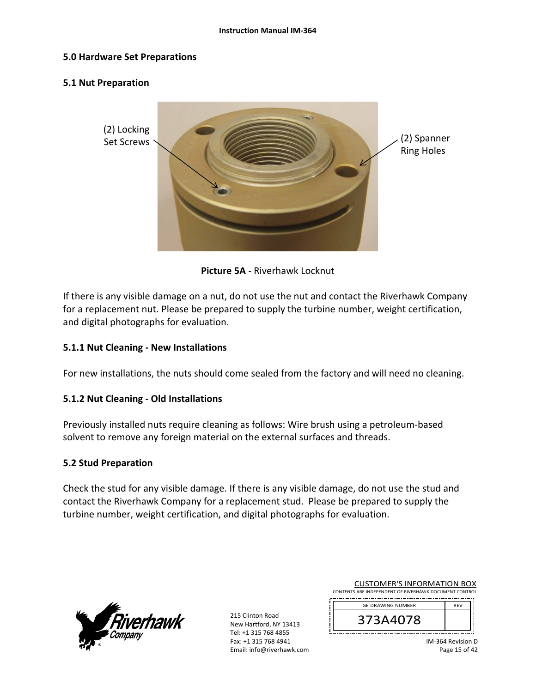#### **5.0 Hardware Set Preparations**

#### **5.1 Nut Preparation**



**Picture 5A** ‐ Riverhawk Locknut

If there is any visible damage on a nut, do not use the nut and contact the Riverhawk Company for a replacement nut. Please be prepared to supply the turbine number, weight certification, and digital photographs for evaluation.

### **5.1.1 Nut Cleaning ‐ New Installations**

For new installations, the nuts should come sealed from the factory and will need no cleaning.

### **5.1.2 Nut Cleaning ‐ Old Installations**

Previously installed nuts require cleaning as follows: Wire brush using a petroleum‐based solvent to remove any foreign material on the external surfaces and threads.

#### **5.2 Stud Preparation**

Check the stud for any visible damage. If there is any visible damage, do not use the stud and contact the Riverhawk Company for a replacement stud. Please be prepared to supply the turbine number, weight certification, and digital photographs for evaluation.



215 Clinton Road New Hartford, NY 13413 Tel: +1 315 768 4855 Fax: +1 315 768 4941 Email: info@riverhawk.com

| <b>GE DRAWING NUMBER</b> | <b>RFV</b> |  |
|--------------------------|------------|--|
|                          |            |  |

IM‐364 Revision D Page 15 of 42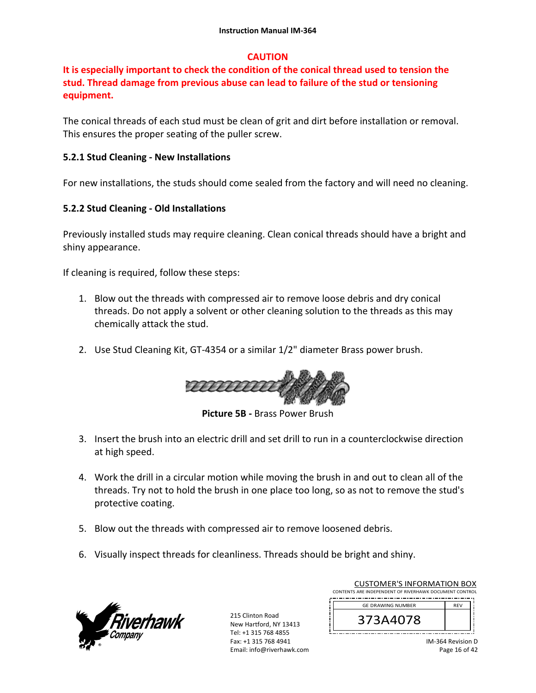## **CAUTION**

# **It is especially important to check the condition of the conical thread used to tension the stud. Thread damage from previous abuse can lead to failure of the stud or tensioning equipment.**

The conical threads of each stud must be clean of grit and dirt before installation or removal. This ensures the proper seating of the puller screw.

### **5.2.1 Stud Cleaning ‐ New Installations**

For new installations, the studs should come sealed from the factory and will need no cleaning.

### **5.2.2 Stud Cleaning ‐ Old Installations**

Previously installed studs may require cleaning. Clean conical threads should have a bright and shiny appearance.

If cleaning is required, follow these steps:

- 1. Blow out the threads with compressed air to remove loose debris and dry conical threads. Do not apply a solvent or other cleaning solution to the threads as this may chemically attack the stud.
- 2. Use Stud Cleaning Kit, GT‐4354 or a similar 1/2" diameter Brass power brush.



**Picture 5B ‐** Brass Power Brush

- 3. Insert the brush into an electric drill and set drill to run in a counterclockwise direction at high speed.
- 4. Work the drill in a circular motion while moving the brush in and out to clean all of the threads. Try not to hold the brush in one place too long, so as not to remove the stud's protective coating.
- 5. Blow out the threads with compressed air to remove loosened debris.
- 6. Visually inspect threads for cleanliness. Threads should be bright and shiny.



215 Clinton Road New Hartford, NY 13413 Tel: +1 315 768 4855 Fax: +1 315 768 4941 Email: info@riverhawk.com

| CONTENTS ARE INDEPENDENT OF RIVERHAWK DOCUMENT CONTROL |            |
|--------------------------------------------------------|------------|
| <b>GE DRAWING NUMBER</b>                               | <b>RFV</b> |
| 373A4078                                               |            |

CUSTOMER'S INFORMATION BOX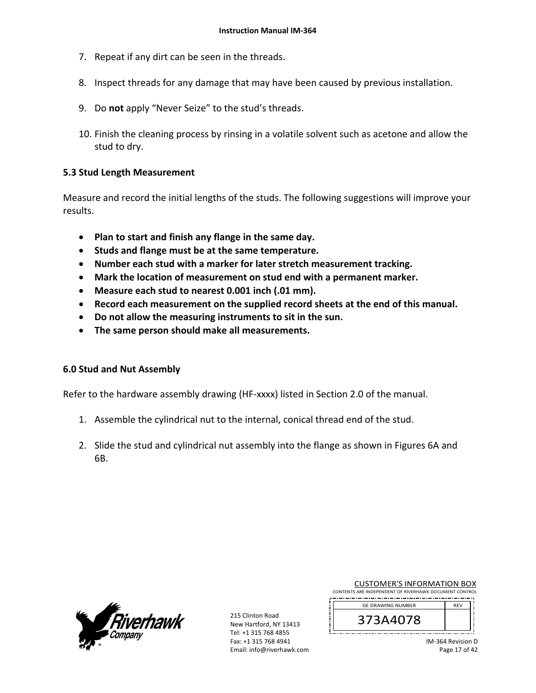- 7. Repeat if any dirt can be seen in the threads.
- 8. Inspect threads for any damage that may have been caused by previous installation.
- 9. Do **not** apply "Never Seize" to the stud's threads.
- 10. Finish the cleaning process by rinsing in a volatile solvent such as acetone and allow the stud to dry.

### **5.3 Stud Length Measurement**

Measure and record the initial lengths of the studs. The following suggestions will improve your results.

- **Plan to start and finish any flange in the same day.**
- **Studs and flange must be at the same temperature.**
- **Number each stud with a marker for later stretch measurement tracking.**
- **Mark the location of measurement on stud end with a permanent marker.**
- **Measure each stud to nearest 0.001 inch (.01 mm).**
- **Record each measurement on the supplied record sheets at the end of this manual.**
- **Do not allow the measuring instruments to sit in the sun.**
- **The same person should make all measurements.**

### **6.0 Stud and Nut Assembly**

Refer to the hardware assembly drawing (HF‐xxxx) listed in Section 2.0 of the manual.

- 1. Assemble the cylindrical nut to the internal, conical thread end of the stud.
- 2. Slide the stud and cylindrical nut assembly into the flange as shown in Figures 6A and 6B.



215 Clinton Road New Hartford, NY 13413 Tel: +1 315 768 4855 Fax: +1 315 768 4941 Email: info@riverhawk.com

| CONTENTS ARE INDEPENDENT OF RIVERHAWK DOCUMENT CONTROL |            |  |
|--------------------------------------------------------|------------|--|
| <b>GE DRAWING NUMBER</b>                               | <b>RFV</b> |  |
| 373A4078                                               |            |  |

CUSTOMER'S INFORMATION BOX

IM‐364 Revision D Page 17 of 42

J į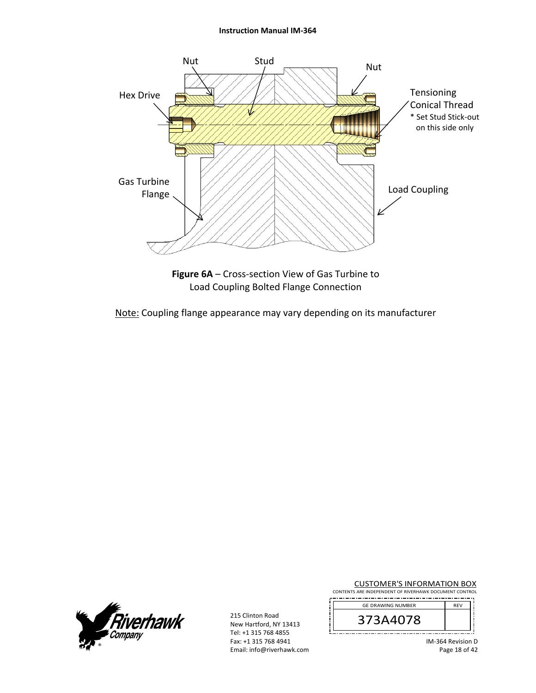#### **Instruction Manual IM‐364**



Load Coupling Bolted Flange Connection

Note: Coupling flange appearance may vary depending on its manufacturer



215 Clinton Road New Hartford, NY 13413 Tel: +1 315 768 4855 Fax: +1 315 768 4941 Email: info@riverhawk.com

| <b>CUSTOMER'S INFORMATION BOX</b>                      |
|--------------------------------------------------------|
| CONTENTS ARE INDEPENDENT OF RIVERHAWK DOCUMENT CONTROL |

| <b>GE DRAWING NUMBER</b> | <b>RFV</b> |
|--------------------------|------------|
| Ŏ<br>z                   |            |
|                          |            |

IM‐364 Revision D Page 18 of 42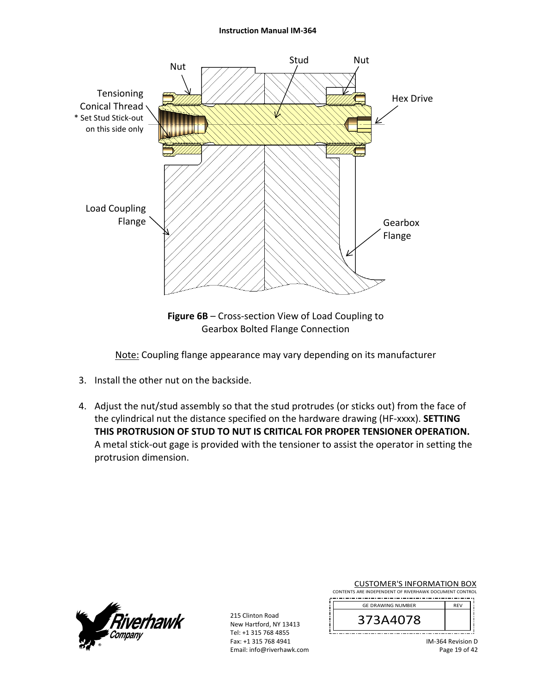#### **Instruction Manual IM‐364**



**Figure 6B** – Cross‐section View of Load Coupling to Gearbox Bolted Flange Connection

Note: Coupling flange appearance may vary depending on its manufacturer

- 3. Install the other nut on the backside.
- 4. Adjust the nut/stud assembly so that the stud protrudes (or sticks out) from the face of the cylindrical nut the distance specified on the hardware drawing (HF‐xxxx). **SETTING THIS PROTRUSION OF STUD TO NUT IS CRITICAL FOR PROPER TENSIONER OPERATION.** A metal stick‐out gage is provided with the tensioner to assist the operator in setting the protrusion dimension.



215 Clinton Road New Hartford, NY 13413 Tel: +1 315 768 4855 Fax: +1 315 768 4941 Email: info@riverhawk.com

| <b>CUSTOMER'S INFORMATION BOX</b>                      |  |  |
|--------------------------------------------------------|--|--|
| CONTENTS ARE INDEPENDENT OF RIVERHAWK DOCUMENT CONTROL |  |  |

| <b>GE DRAWING NUMBER</b> | <b>RFV</b> |
|--------------------------|------------|
| 3A4U/8<br>⊃              |            |
|                          |            |

IM‐364 Revision D Page 19 of 42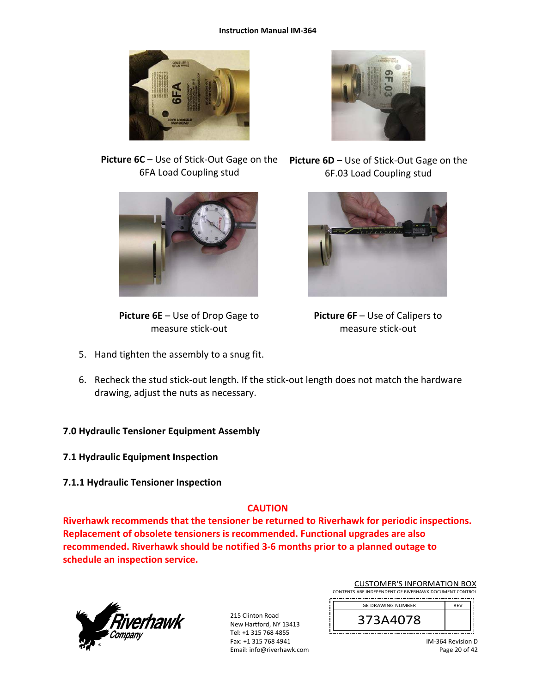



6FA Load Coupling stud



**Picture 6E** – Use of Drop Gage to measure stick‐out

5. Hand tighten the assembly to a snug fit.

**Picture 6C** – Use of Stick‐Out Gage on the **Picture 6D** – Use of Stick‐Out Gage on the 6F.03 Load Coupling stud



**Picture 6F** – Use of Calipers to measure stick‐out

6. Recheck the stud stick‐out length. If the stick‐out length does not match the hardware drawing, adjust the nuts as necessary.

## **7.0 Hydraulic Tensioner Equipment Assembly**

- **7.1 Hydraulic Equipment Inspection**
- **7.1.1 Hydraulic Tensioner Inspection**

## **CAUTION**

**Riverhawk recommends that the tensioner be returned to Riverhawk for periodic inspections. Replacement of obsolete tensioners is recommended. Functional upgrades are also recommended. Riverhawk should be notified 3‐6 months prior to a planned outage to schedule an inspection service.** 



215 Clinton Road New Hartford, NY 13413 Tel: +1 315 768 4855 Fax: +1 315 768 4941 Email: info@riverhawk.com

| CONTENTS ARE INDEPENDENT OF RIVERHAWK DOCUMENT CONTROL |            |  |
|--------------------------------------------------------|------------|--|
| <b>GE DRAWING NUMBER</b>                               | <b>RFV</b> |  |
| 373A4078                                               |            |  |

CUSTOMER'S INFORMATION BOX

IM‐364 Revision D Page 20 of 42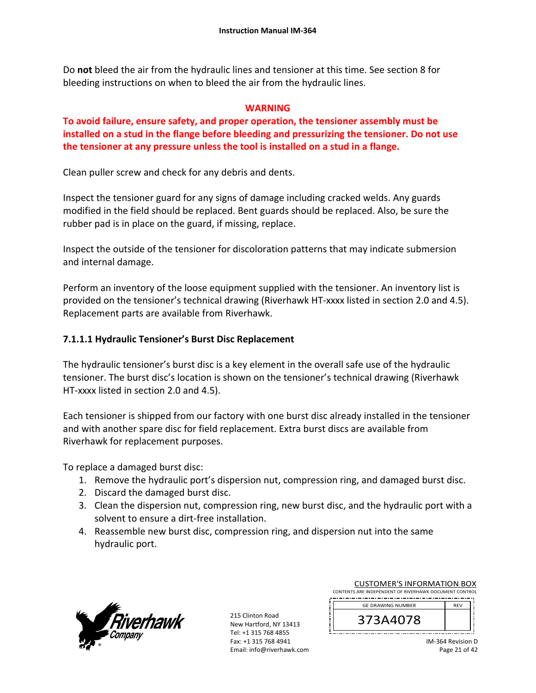Do **not** bleed the air from the hydraulic lines and tensioner at this time. See section 8 for bleeding instructions on when to bleed the air from the hydraulic lines.

### **WARNING**

**To avoid failure, ensure safety, and proper operation, the tensioner assembly must be installed on a stud in the flange before bleeding and pressurizing the tensioner. Do not use the tensioner at any pressure unless the tool is installed on a stud in a flange.** 

Clean puller screw and check for any debris and dents.

Inspect the tensioner guard for any signs of damage including cracked welds. Any guards modified in the field should be replaced. Bent guards should be replaced. Also, be sure the rubber pad is in place on the guard, if missing, replace.

Inspect the outside of the tensioner for discoloration patterns that may indicate submersion and internal damage.

Perform an inventory of the loose equipment supplied with the tensioner. An inventory list is provided on the tensioner's technical drawing (Riverhawk HT‐xxxx listed in section 2.0 and 4.5). Replacement parts are available from Riverhawk.

## **7.1.1.1 Hydraulic Tensioner's Burst Disc Replacement**

The hydraulic tensioner's burst disc is a key element in the overall safe use of the hydraulic tensioner. The burst disc's location is shown on the tensioner's technical drawing (Riverhawk HT-xxxx listed in section 2.0 and 4.5).

Each tensioner is shipped from our factory with one burst disc already installed in the tensioner and with another spare disc for field replacement. Extra burst discs are available from Riverhawk for replacement purposes.

To replace a damaged burst disc:

- 1. Remove the hydraulic port's dispersion nut, compression ring, and damaged burst disc.
- 2. Discard the damaged burst disc.
- 3. Clean the dispersion nut, compression ring, new burst disc, and the hydraulic port with a solvent to ensure a dirt‐free installation.
- 4. Reassemble new burst disc, compression ring, and dispersion nut into the same hydraulic port.



215 Clinton Road New Hartford, NY 13413 Tel: +1 315 768 4855 Fax: +1 315 768 4941 Email: info@riverhawk.com

| CONTENTS ARE INDEPENDENT OF RIVERHAWK DOCUMENT CONTROL |            |  |
|--------------------------------------------------------|------------|--|
| <b>GE DRAWING NUMBER</b>                               | <b>RFV</b> |  |
| 373A4078                                               |            |  |

CUSTOMER'S INFORMATION BOX

IM‐364 Revision D Page 21 of 42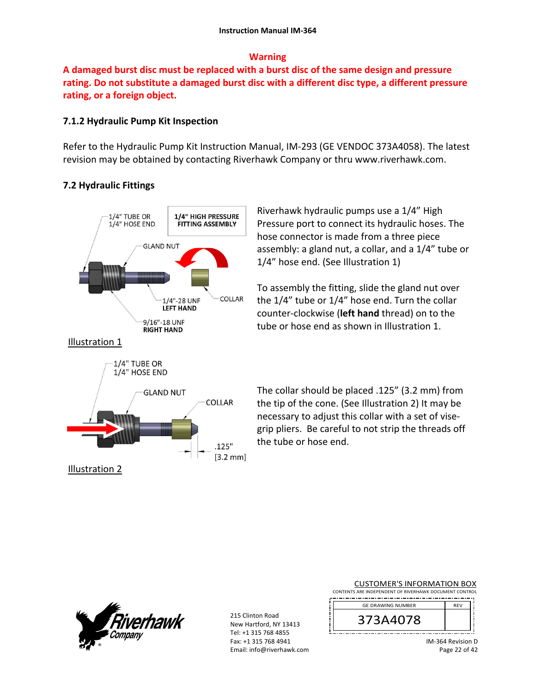### **Warning**

**A damaged burst disc must be replaced with a burst disc of the same design and pressure rating. Do not substitute a damaged burst disc with a different disc type, a different pressure rating, or a foreign object.**

## **7.1.2 Hydraulic Pump Kit Inspection**

Refer to the Hydraulic Pump Kit Instruction Manual, IM‐293 (GE VENDOC 373A4058). The latest revision may be obtained by contacting Riverhawk Company or thru www.riverhawk.com.

# **7.2 Hydraulic Fittings**



Riverhawk hydraulic pumps use a 1/4" High Pressure port to connect its hydraulic hoses. The hose connector is made from a three piece assembly: a gland nut, a collar, and a 1/4" tube or 1/4" hose end. (See Illustration 1)

To assembly the fitting, slide the gland nut over the 1/4" tube or 1/4" hose end. Turn the collar counter‐clockwise (**left hand** thread) on to the tube or hose end as shown in Illustration 1.

The collar should be placed .125" (3.2 mm) from the tip of the cone. (See Illustration 2) It may be necessary to adjust this collar with a set of vise‐ grip pliers. Be careful to not strip the threads off the tube or hose end.



215 Clinton Road New Hartford, NY 13413 Tel: +1 315 768 4855 Fax: +1 315 768 4941 Email: info@riverhawk.com

| <b>CUSTOMER'S INFORMATION BOX</b>                      |
|--------------------------------------------------------|
| CONTENTS ARE INDEPENDENT OF RIVERHAWK DOCUMENT CONTROL |
| ----                                                   |

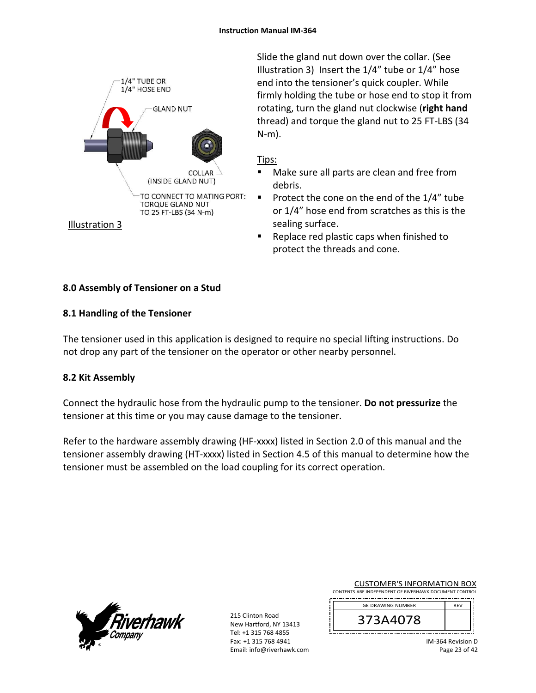

Slide the gland nut down over the collar. (See Illustration 3) Insert the 1/4" tube or 1/4" hose end into the tensioner's quick coupler. While firmly holding the tube or hose end to stop it from rotating, turn the gland nut clockwise (**right hand** thread) and torque the gland nut to 25 FT‐LBS (34 N‐m).

## Tips:

- Make sure all parts are clean and free from debris.
- Protect the cone on the end of the  $1/4$ " tube or 1/4" hose end from scratches as this is the sealing surface.
- Replace red plastic caps when finished to protect the threads and cone.

## **8.0 Assembly of Tensioner on a Stud**

## **8.1 Handling of the Tensioner**

The tensioner used in this application is designed to require no special lifting instructions. Do not drop any part of the tensioner on the operator or other nearby personnel.

## **8.2 Kit Assembly**

Connect the hydraulic hose from the hydraulic pump to the tensioner. **Do not pressurize** the tensioner at this time or you may cause damage to the tensioner.

Refer to the hardware assembly drawing (HF-xxxx) listed in Section 2.0 of this manual and the tensioner assembly drawing (HT‐xxxx) listed in Section 4.5 of this manual to determine how the tensioner must be assembled on the load coupling for its correct operation.



215 Clinton Road New Hartford, NY 13413 Tel: +1 315 768 4855 Fax: +1 315 768 4941 Email: info@riverhawk.com

| <b>CUSTOMER'S INFORMATION BOX</b>                      |  |
|--------------------------------------------------------|--|
| CONTENTS ARE INDEPENDENT OF RIVERHAWK DOCUMENT CONTROL |  |

| <b>GE DRAWING NUMBER</b> | <b>RFV</b> |
|--------------------------|------------|
| Ŏ<br>z                   |            |
|                          |            |

IM‐364 Revision D Page 23 of 42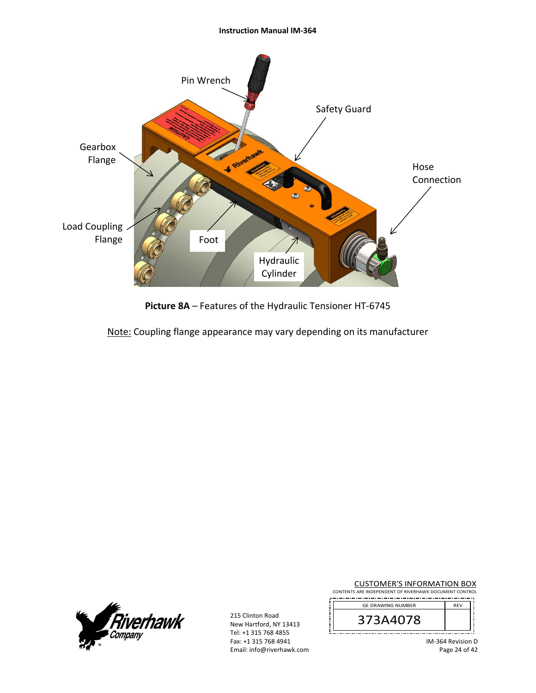#### **Instruction Manual IM‐364**



**Picture 8A** – Features of the Hydraulic Tensioner HT‐6745

Note: Coupling flange appearance may vary depending on its manufacturer



215 Clinton Road New Hartford, NY 13413 Tel: +1 315 768 4855 Fax: +1 315 768 4941 Email: info@riverhawk.com

| <b>CUSTOMER'S INFORMATION BOX</b>                      |  |
|--------------------------------------------------------|--|
| CONTENTS ARE INDEPENDENT OF RIVERHAWK DOCUMENT CONTROL |  |

| <b>GE DRAWING NUMBER</b> | <b>RFV</b> |
|--------------------------|------------|
| 3A4U78<br>⊃              |            |
|                          |            |

IM‐364 Revision D Page 24 of 42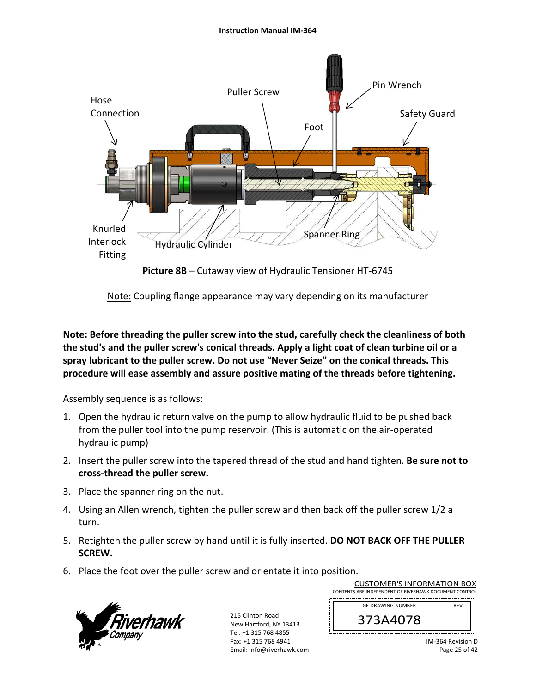

**Picture 8B** – Cutaway view of Hydraulic Tensioner HT‐6745

Note: Coupling flange appearance may vary depending on its manufacturer

**Note: Before threading the puller screw into the stud, carefully check the cleanliness of both the stud's and the puller screw's conical threads. Apply a light coat of clean turbine oil or a spray lubricant to the puller screw. Do not use "Never Seize" on the conical threads. This procedure will ease assembly and assure positive mating of the threads before tightening.** 

Assembly sequence is as follows:

- 1. Open the hydraulic return valve on the pump to allow hydraulic fluid to be pushed back from the puller tool into the pump reservoir. (This is automatic on the air‐operated hydraulic pump)
- 2. Insert the puller screw into the tapered thread of the stud and hand tighten. **Be sure not to cross‐thread the puller screw.**
- 3. Place the spanner ring on the nut.
- 4. Using an Allen wrench, tighten the puller screw and then back off the puller screw 1/2 a turn.
- 5. Retighten the puller screw by hand until it is fully inserted. **DO NOT BACK OFF THE PULLER SCREW.**
- 6. Place the foot over the puller screw and orientate it into position.



215 Clinton Road New Hartford, NY 13413 Tel: +1 315 768 4855 Fax: +1 315 768 4941 Email: info@riverhawk.com

| CONTENTS ARE INDEPENDENT OF RIVERHAWK DOCUMENT CONTROL |            |
|--------------------------------------------------------|------------|
| <b>GE DRAWING NUMBER</b>                               | <b>RFV</b> |
| 373A4078                                               |            |
|                                                        |            |

CUSTOMER'S INFORMATION BOX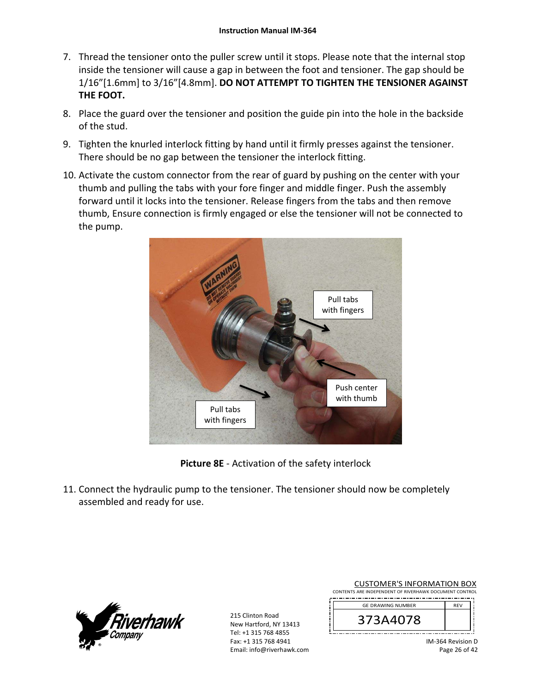- 7. Thread the tensioner onto the puller screw until it stops. Please note that the internal stop inside the tensioner will cause a gap in between the foot and tensioner. The gap should be 1/16"[1.6mm] to 3/16"[4.8mm]. **DO NOT ATTEMPT TO TIGHTEN THE TENSIONER AGAINST THE FOOT.**
- 8. Place the guard over the tensioner and position the guide pin into the hole in the backside of the stud.
- 9. Tighten the knurled interlock fitting by hand until it firmly presses against the tensioner. There should be no gap between the tensioner the interlock fitting.
- 10. Activate the custom connector from the rear of guard by pushing on the center with your thumb and pulling the tabs with your fore finger and middle finger. Push the assembly forward until it locks into the tensioner. Release fingers from the tabs and then remove thumb, Ensure connection is firmly engaged or else the tensioner will not be connected to the pump.



**Picture 8E** ‐ Activation of the safety interlock

11. Connect the hydraulic pump to the tensioner. The tensioner should now be completely assembled and ready for use.



215 Clinton Road New Hartford, NY 13413 Tel: +1 315 768 4855 Fax: +1 315 768 4941 Email: info@riverhawk.com

| <b>CUSTOMER'S INFORMATION BOX</b>                      |            |
|--------------------------------------------------------|------------|
| CONTENTS ARE INDEPENDENT OF RIVERHAWK DOCUMENT CONTROL |            |
| <b>GE DRAWING NUMBER</b>                               | <b>RFV</b> |
| 373A4078                                               |            |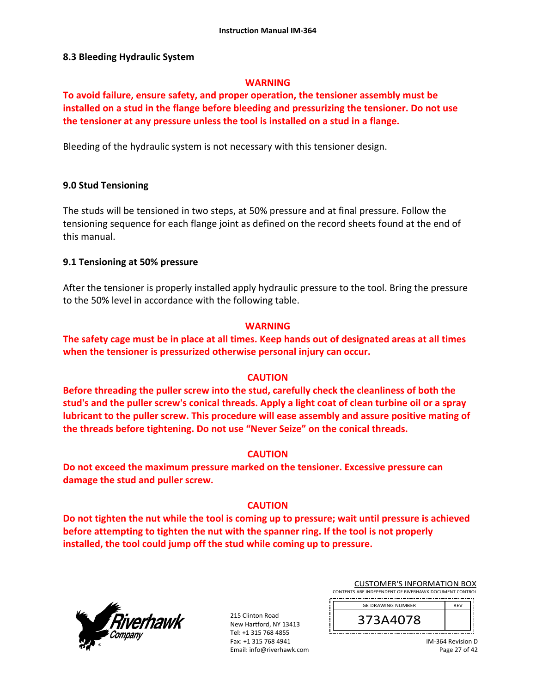#### **8.3 Bleeding Hydraulic System**

#### **WARNING**

**To avoid failure, ensure safety, and proper operation, the tensioner assembly must be installed on a stud in the flange before bleeding and pressurizing the tensioner. Do not use the tensioner at any pressure unless the tool is installed on a stud in a flange.** 

Bleeding of the hydraulic system is not necessary with this tensioner design.

#### **9.0 Stud Tensioning**

The studs will be tensioned in two steps, at 50% pressure and at final pressure. Follow the tensioning sequence for each flange joint as defined on the record sheets found at the end of this manual.

#### **9.1 Tensioning at 50% pressure**

After the tensioner is properly installed apply hydraulic pressure to the tool. Bring the pressure to the 50% level in accordance with the following table.

#### **WARNING**

**The safety cage must be in place at all times. Keep hands out of designated areas at all times when the tensioner is pressurized otherwise personal injury can occur.** 

### **CAUTION**

**Before threading the puller screw into the stud, carefully check the cleanliness of both the stud's and the puller screw's conical threads. Apply a light coat of clean turbine oil or a spray lubricant to the puller screw. This procedure will ease assembly and assure positive mating of the threads before tightening. Do not use "Never Seize" on the conical threads.** 

#### **CAUTION**

**Do not exceed the maximum pressure marked on the tensioner. Excessive pressure can damage the stud and puller screw.** 

### **CAUTION**

**Do not tighten the nut while the tool is coming up to pressure; wait until pressure is achieved before attempting to tighten the nut with the spanner ring. If the tool is not properly installed, the tool could jump off the stud while coming up to pressure.** 



215 Clinton Road New Hartford, NY 13413 Tel: +1 315 768 4855 Fax: +1 315 768 4941 Email: info@riverhawk.com

| CUSTUMER S INFORMATION BOX                             |  |
|--------------------------------------------------------|--|
| CONTENTS ARE INDEPENDENT OF RIVERHAWK DOCUMENT CONTROL |  |
|                                                        |  |
| <b>GE DRAWING NUMBER</b>                               |  |
|                                                        |  |

CUSTOMER'S INFORMATION BOX

373A4078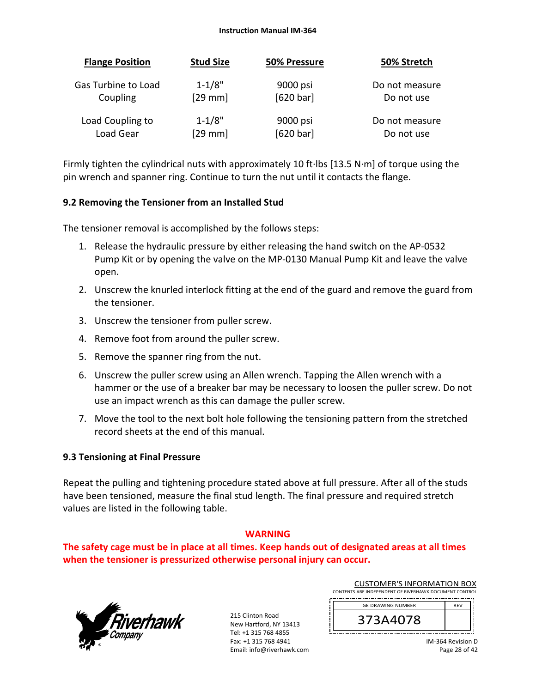#### **Instruction Manual IM‐364**

| <b>Flange Position</b> | <b>Stud Size</b> | 50% Pressure | 50% Stretch    |
|------------------------|------------------|--------------|----------------|
| Gas Turbine to Load    | $1 - 1/8"$       | 9000 psi     | Do not measure |
| Coupling               | $[29$ mm         | [620 bar]    | Do not use     |
| Load Coupling to       | $1 - 1/8"$       | 9000 psi     | Do not measure |
| Load Gear              | $[29$ mm]        | [620 bar]    | Do not use     |

Firmly tighten the cylindrical nuts with approximately 10 ft∙lbs [13.5 N∙m] of torque using the pin wrench and spanner ring. Continue to turn the nut until it contacts the flange.

### **9.2 Removing the Tensioner from an Installed Stud**

The tensioner removal is accomplished by the follows steps:

- 1. Release the hydraulic pressure by either releasing the hand switch on the AP‐0532 Pump Kit or by opening the valve on the MP‐0130 Manual Pump Kit and leave the valve open.
- 2. Unscrew the knurled interlock fitting at the end of the guard and remove the guard from the tensioner.
- 3. Unscrew the tensioner from puller screw.
- 4. Remove foot from around the puller screw.
- 5. Remove the spanner ring from the nut.
- 6. Unscrew the puller screw using an Allen wrench. Tapping the Allen wrench with a hammer or the use of a breaker bar may be necessary to loosen the puller screw. Do not use an impact wrench as this can damage the puller screw.
- 7. Move the tool to the next bolt hole following the tensioning pattern from the stretched record sheets at the end of this manual.

### **9.3 Tensioning at Final Pressure**

Repeat the pulling and tightening procedure stated above at full pressure. After all of the studs have been tensioned, measure the final stud length. The final pressure and required stretch values are listed in the following table.

### **WARNING**

**The safety cage must be in place at all times. Keep hands out of designated areas at all times when the tensioner is pressurized otherwise personal injury can occur.** 



215 Clinton Road New Hartford, NY 13413 Tel: +1 315 768 4855 Fax: +1 315 768 4941 Email: info@riverhawk.com

| CONTENTS ARE INDEPENDENT OF RIVERHAWK DOCUMENT CONTROL |            |  |
|--------------------------------------------------------|------------|--|
| <b>GE DRAWING NUMBER</b>                               | <b>RFV</b> |  |
| 373A4078                                               |            |  |

CUSTOMER'S INFORMATION BOX

IM‐364 Revision D Page 28 of 42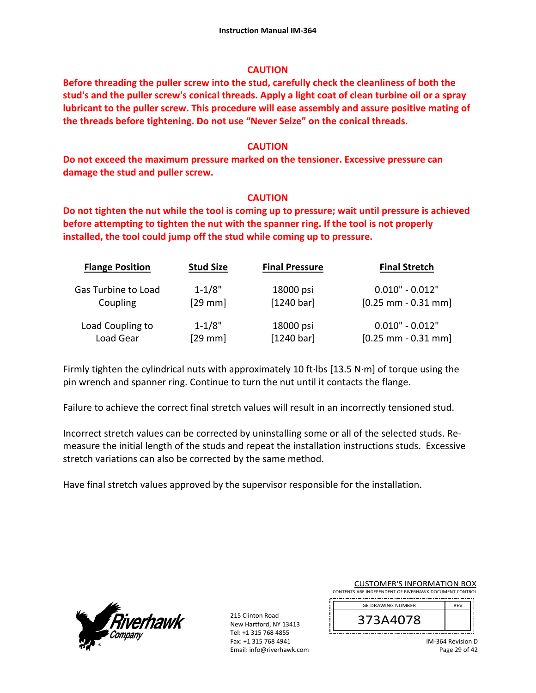### **CAUTION**

**Before threading the puller screw into the stud, carefully check the cleanliness of both the stud's and the puller screw's conical threads. Apply a light coat of clean turbine oil or a spray lubricant to the puller screw. This procedure will ease assembly and assure positive mating of the threads before tightening. Do not use "Never Seize" on the conical threads.** 

### **CAUTION**

**Do not exceed the maximum pressure marked on the tensioner. Excessive pressure can damage the stud and puller screw.** 

### **CAUTION**

**Do not tighten the nut while the tool is coming up to pressure; wait until pressure is achieved before attempting to tighten the nut with the spanner ring. If the tool is not properly installed, the tool could jump off the stud while coming up to pressure.**

| <b>Flange Position</b> | <b>Stud Size</b> | <b>Final Pressure</b> | <b>Final Stretch</b>  |
|------------------------|------------------|-----------------------|-----------------------|
| Gas Turbine to Load    | $1 - 1/8"$       | 18000 psi             | $0.010" - 0.012"$     |
| Coupling               | $[29$ mm]        | [1240 bar]            | $[0.25$ mm - 0.31 mm] |
| Load Coupling to       | $1 - 1/8"$       | 18000 psi             | $0.010" - 0.012"$     |
| Load Gear              | $[29$ mm]        | [1240 bar]            | $[0.25$ mm - 0.31 mm] |

Firmly tighten the cylindrical nuts with approximately 10 ft∙lbs [13.5 N∙m] of torque using the pin wrench and spanner ring. Continue to turn the nut until it contacts the flange.

Failure to achieve the correct final stretch values will result in an incorrectly tensioned stud.

Incorrect stretch values can be corrected by uninstalling some or all of the selected studs. Re‐ measure the initial length of the studs and repeat the installation instructions studs. Excessive stretch variations can also be corrected by the same method.

Have final stretch values approved by the supervisor responsible for the installation.



215 Clinton Road New Hartford, NY 13413 Tel: +1 315 768 4855 Fax: +1 315 768 4941 Email: info@riverhawk.com

| <b>CUSTOMER'S INFORMATION BOX</b>                      |            |  |
|--------------------------------------------------------|------------|--|
| CONTENTS ARE INDEPENDENT OF RIVERHAWK DOCUMENT CONTROL |            |  |
| <b>GE DRAWING NUMBER</b>                               | <b>RFV</b> |  |

| /3A4078<br>3 |  |
|--------------|--|
|              |  |

IM‐364 Revision D Page 29 of 42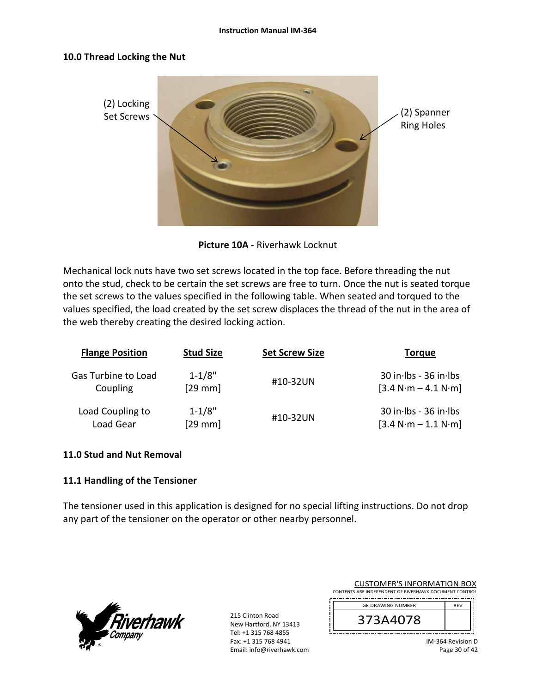#### **Instruction Manual IM‐364**

#### **10.0 Thread Locking the Nut**



**Picture 10A** ‐ Riverhawk Locknut

Mechanical lock nuts have two set screws located in the top face. Before threading the nut onto the stud, check to be certain the set screws are free to turn. Once the nut is seated torque the set screws to the values specified in the following table. When seated and torqued to the values specified, the load created by the set screw displaces the thread of the nut in the area of the web thereby creating the desired locking action.

| <b>Flange Position</b> | <b>Stud Size</b> | <b>Set Screw Size</b> | Torque                    |
|------------------------|------------------|-----------------------|---------------------------|
| Gas Turbine to Load    | $1 - 1/8"$       | #10-32UN              | $30$ in Ibs - $36$ in Ibs |
| Coupling               | $[29$ mm]        |                       | $[3.4 N·m - 4.1 N·m]$     |
| Load Coupling to       | $1 - 1/8"$       | #10-32UN              | $30$ in Ibs - $36$ in Ibs |
| Load Gear              | $[29$ mm $]$     |                       | $[3.4 N·m - 1.1 N·m]$     |

#### **11.0 Stud and Nut Removal**

### **11.1 Handling of the Tensioner**

The tensioner used in this application is designed for no special lifting instructions. Do not drop any part of the tensioner on the operator or other nearby personnel.



215 Clinton Road New Hartford, NY 13413 Tel: +1 315 768 4855 Fax: +1 315 768 4941 Email: info@riverhawk.com

| COSTOMEN STRI ONWATION BOA                             |            |
|--------------------------------------------------------|------------|
| CONTENTS ARE INDEPENDENT OF RIVERHAWK DOCUMENT CONTROL |            |
| <b>GE DRAWING NUMBER</b>                               | <b>REV</b> |
| 373A4078                                               |            |
|                                                        |            |

CUSTOMER'S INFORMATION BOX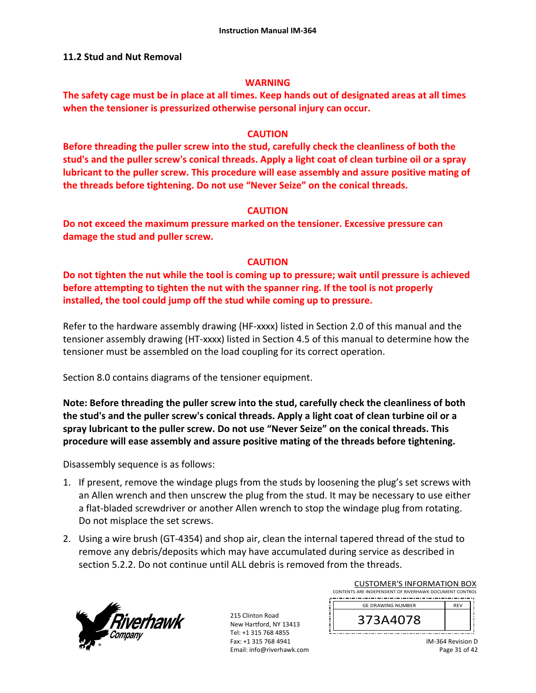### **11.2 Stud and Nut Removal**

#### **WARNING**

**The safety cage must be in place at all times. Keep hands out of designated areas at all times when the tensioner is pressurized otherwise personal injury can occur.** 

#### **CAUTION**

**Before threading the puller screw into the stud, carefully check the cleanliness of both the stud's and the puller screw's conical threads. Apply a light coat of clean turbine oil or a spray lubricant to the puller screw. This procedure will ease assembly and assure positive mating of the threads before tightening. Do not use "Never Seize" on the conical threads.** 

### **CAUTION**

**Do not exceed the maximum pressure marked on the tensioner. Excessive pressure can damage the stud and puller screw.** 

### **CAUTION**

**Do not tighten the nut while the tool is coming up to pressure; wait until pressure is achieved before attempting to tighten the nut with the spanner ring. If the tool is not properly installed, the tool could jump off the stud while coming up to pressure.** 

Refer to the hardware assembly drawing (HF-xxxx) listed in Section 2.0 of this manual and the tensioner assembly drawing (HT‐xxxx) listed in Section 4.5 of this manual to determine how the tensioner must be assembled on the load coupling for its correct operation.

Section 8.0 contains diagrams of the tensioner equipment.

**Note: Before threading the puller screw into the stud, carefully check the cleanliness of both the stud's and the puller screw's conical threads. Apply a light coat of clean turbine oil or a spray lubricant to the puller screw. Do not use "Never Seize" on the conical threads. This procedure will ease assembly and assure positive mating of the threads before tightening.** 

Disassembly sequence is as follows:

- 1. If present, remove the windage plugs from the studs by loosening the plug's set screws with an Allen wrench and then unscrew the plug from the stud. It may be necessary to use either a flat‐bladed screwdriver or another Allen wrench to stop the windage plug from rotating. Do not misplace the set screws.
- 2. Using a wire brush (GT‐4354) and shop air, clean the internal tapered thread of the stud to remove any debris/deposits which may have accumulated during service as described in section 5.2.2. Do not continue until ALL debris is removed from the threads.



215 Clinton Road New Hartford, NY 13413 Tel: +1 315 768 4855 Fax: +1 315 768 4941 Email: info@riverhawk.com

| CONTENTS ARE INDEPENDENT OF RIVERHAWK DOCUMENT CONTROL |            |  |
|--------------------------------------------------------|------------|--|
| <b>GE DRAWING NUMBER</b>                               | <b>RFV</b> |  |
| 373A4078                                               |            |  |

CUSTOMER'S INFORMATION BOX

IM‐364 Revision D Page 31 of 42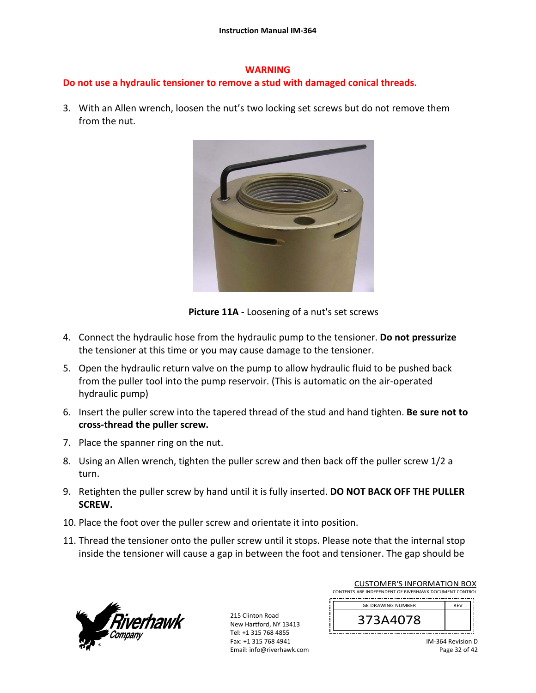#### **WARNING**

# **Do not use a hydraulic tensioner to remove a stud with damaged conical threads.**

3. With an Allen wrench, loosen the nut's two locking set screws but do not remove them from the nut.



**Picture 11A** ‐ Loosening of a nut's set screws

- 4. Connect the hydraulic hose from the hydraulic pump to the tensioner. **Do not pressurize** the tensioner at this time or you may cause damage to the tensioner.
- 5. Open the hydraulic return valve on the pump to allow hydraulic fluid to be pushed back from the puller tool into the pump reservoir. (This is automatic on the air‐operated hydraulic pump)
- 6. Insert the puller screw into the tapered thread of the stud and hand tighten. **Be sure not to cross‐thread the puller screw.**
- 7. Place the spanner ring on the nut.
- 8. Using an Allen wrench, tighten the puller screw and then back off the puller screw 1/2 a turn.
- 9. Retighten the puller screw by hand until it is fully inserted. **DO NOT BACK OFF THE PULLER SCREW.**
- 10. Place the foot over the puller screw and orientate it into position.
- 11. Thread the tensioner onto the puller screw until it stops. Please note that the internal stop inside the tensioner will cause a gap in between the foot and tensioner. The gap should be



215 Clinton Road New Hartford, NY 13413 Tel: +1 315 768 4855 Fax: +1 315 768 4941 Email: info@riverhawk.com

| CONTENTS ARE INDEPENDENT OF RIVERHAWK DOCUMENT CONTROL |            |
|--------------------------------------------------------|------------|
| <b>GE DRAWING NUMBER</b>                               | <b>RFV</b> |
| 373A4078                                               |            |
|                                                        |            |

CUSTOMER'S INFORMATION BOX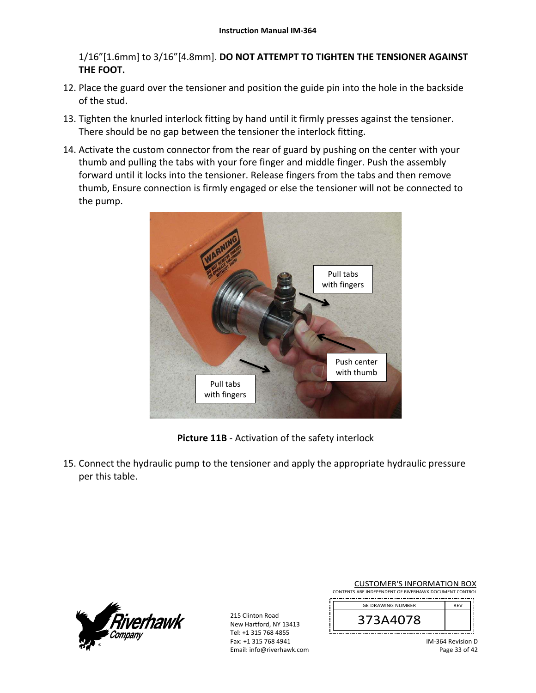1/16"[1.6mm] to 3/16"[4.8mm]. **DO NOT ATTEMPT TO TIGHTEN THE TENSIONER AGAINST THE FOOT.**

- 12. Place the guard over the tensioner and position the guide pin into the hole in the backside of the stud.
- 13. Tighten the knurled interlock fitting by hand until it firmly presses against the tensioner. There should be no gap between the tensioner the interlock fitting.
- 14. Activate the custom connector from the rear of guard by pushing on the center with your thumb and pulling the tabs with your fore finger and middle finger. Push the assembly forward until it locks into the tensioner. Release fingers from the tabs and then remove thumb, Ensure connection is firmly engaged or else the tensioner will not be connected to the pump.



**Picture 11B** ‐ Activation of the safety interlock

15. Connect the hydraulic pump to the tensioner and apply the appropriate hydraulic pressure per this table.



215 Clinton Road New Hartford, NY 13413 Tel: +1 315 768 4855 Fax: +1 315 768 4941 Email: info@riverhawk.com

| <b>CUSTOMER'S INFORMATION BOX</b>                      |  |
|--------------------------------------------------------|--|
| CONTENTS ARE INDEPENDENT OF RIVERHAWK DOCUMENT CONTROL |  |
| <b>GE DRAWING NUMBER</b>                               |  |
|                                                        |  |



Page 33 of 42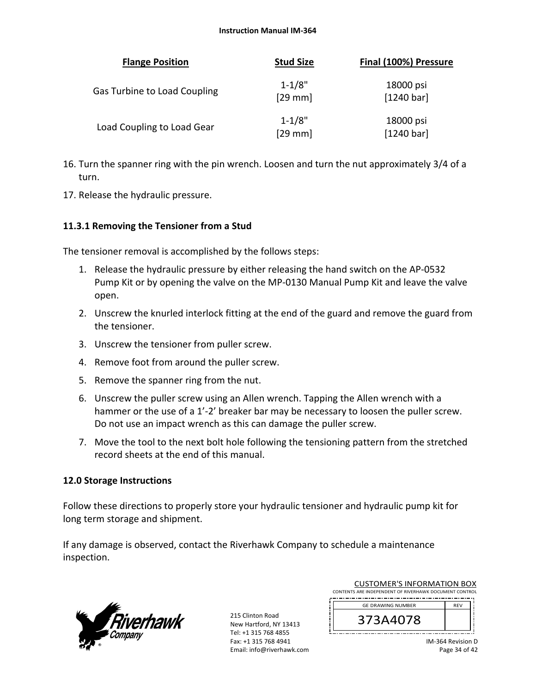| <b>Flange Position</b>       | <b>Stud Size</b>        | Final (100%) Pressure   |
|------------------------------|-------------------------|-------------------------|
| Gas Turbine to Load Coupling | $1 - 1/8"$<br>$[29$ mm] | 18000 psi<br>[1240 bar] |
| Load Coupling to Load Gear   | $1 - 1/8"$<br>$[29$ mm  | 18000 psi<br>[1240 bar] |

- 16. Turn the spanner ring with the pin wrench. Loosen and turn the nut approximately 3/4 of a turn.
- 17. Release the hydraulic pressure.

### **11.3.1 Removing the Tensioner from a Stud**

The tensioner removal is accomplished by the follows steps:

- 1. Release the hydraulic pressure by either releasing the hand switch on the AP‐0532 Pump Kit or by opening the valve on the MP‐0130 Manual Pump Kit and leave the valve open.
- 2. Unscrew the knurled interlock fitting at the end of the guard and remove the guard from the tensioner.
- 3. Unscrew the tensioner from puller screw.
- 4. Remove foot from around the puller screw.
- 5. Remove the spanner ring from the nut.
- 6. Unscrew the puller screw using an Allen wrench. Tapping the Allen wrench with a hammer or the use of a 1'-2' breaker bar may be necessary to loosen the puller screw. Do not use an impact wrench as this can damage the puller screw.
- 7. Move the tool to the next bolt hole following the tensioning pattern from the stretched record sheets at the end of this manual.

### **12.0 Storage Instructions**

Follow these directions to properly store your hydraulic tensioner and hydraulic pump kit for long term storage and shipment.

If any damage is observed, contact the Riverhawk Company to schedule a maintenance inspection.



215 Clinton Road New Hartford, NY 13413 Tel: +1 315 768 4855 Fax: +1 315 768 4941 Email: info@riverhawk.com

| CONTENTS ARE INDEPENDENT OF RIVERHAWK DOCUMENT CONTROL |            |  |
|--------------------------------------------------------|------------|--|
| <b>GE DRAWING NUMBER</b>                               | <b>RFV</b> |  |
| 373A4078                                               |            |  |

CUSTOMER'S INFORMATION BOX

IM‐364 Revision D Page 34 of 42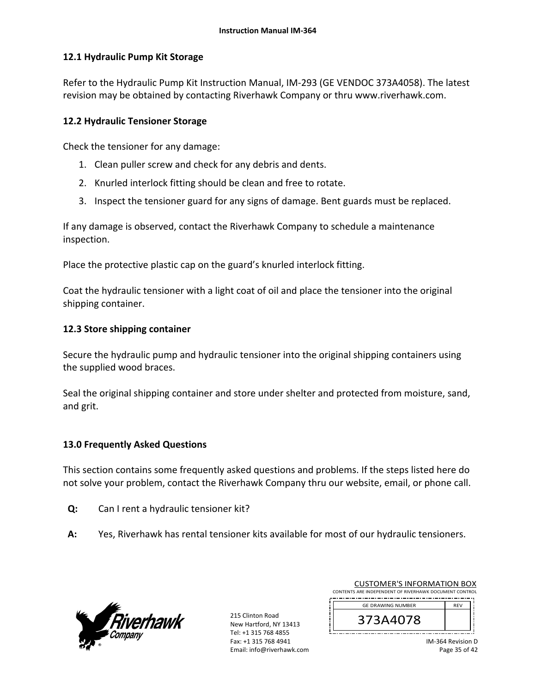### **12.1 Hydraulic Pump Kit Storage**

Refer to the Hydraulic Pump Kit Instruction Manual, IM‐293 (GE VENDOC 373A4058). The latest revision may be obtained by contacting Riverhawk Company or thru www.riverhawk.com.

### **12.2 Hydraulic Tensioner Storage**

Check the tensioner for any damage:

- 1. Clean puller screw and check for any debris and dents.
- 2. Knurled interlock fitting should be clean and free to rotate.
- 3. Inspect the tensioner guard for any signs of damage. Bent guards must be replaced.

If any damage is observed, contact the Riverhawk Company to schedule a maintenance inspection.

Place the protective plastic cap on the guard's knurled interlock fitting.

Coat the hydraulic tensioner with a light coat of oil and place the tensioner into the original shipping container.

### **12.3 Store shipping container**

Secure the hydraulic pump and hydraulic tensioner into the original shipping containers using the supplied wood braces.

Seal the original shipping container and store under shelter and protected from moisture, sand, and grit.

### **13.0 Frequently Asked Questions**

This section contains some frequently asked questions and problems. If the steps listed here do not solve your problem, contact the Riverhawk Company thru our website, email, or phone call.

- **Q:**  Can I rent a hydraulic tensioner kit?
- **A:**  Yes, Riverhawk has rental tensioner kits available for most of our hydraulic tensioners.



215 Clinton Road New Hartford, NY 13413 Tel: +1 315 768 4855 Fax: +1 315 768 4941 Email: info@riverhawk.com

| CONTENTS ARE INDEPENDENT OF RIVERHAWK DOCUMENT CONTROL |            |
|--------------------------------------------------------|------------|
| <b>GE DRAWING NUMBER</b>                               | <b>RFV</b> |
| 373A4078                                               |            |
|                                                        |            |

CUSTOMER'S INFORMATION BOX

IM‐364 Revision D Page 35 of 42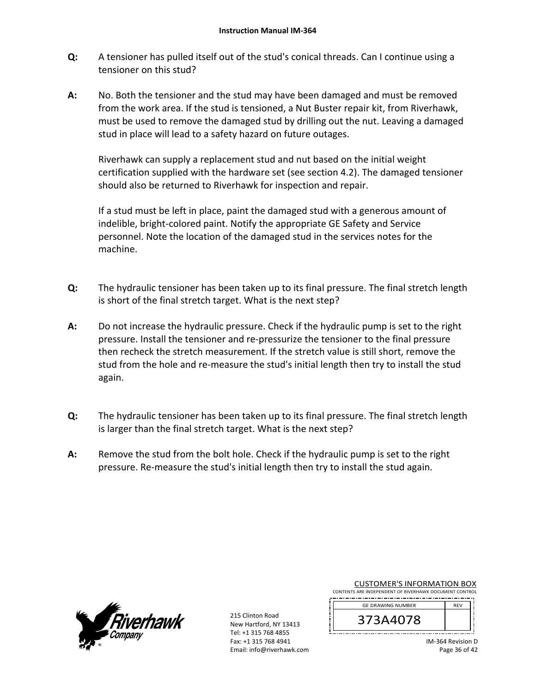- **Q:**  A tensioner has pulled itself out of the stud's conical threads. Can I continue using a tensioner on this stud?
- **A:**  No. Both the tensioner and the stud may have been damaged and must be removed from the work area. If the stud is tensioned, a Nut Buster repair kit, from Riverhawk, must be used to remove the damaged stud by drilling out the nut. Leaving a damaged stud in place will lead to a safety hazard on future outages.

Riverhawk can supply a replacement stud and nut based on the initial weight certification supplied with the hardware set (see section 4.2). The damaged tensioner should also be returned to Riverhawk for inspection and repair.

If a stud must be left in place, paint the damaged stud with a generous amount of indelible, bright‐colored paint. Notify the appropriate GE Safety and Service personnel. Note the location of the damaged stud in the services notes for the machine.

- **Q:**  The hydraulic tensioner has been taken up to its final pressure. The final stretch length is short of the final stretch target. What is the next step?
- **A:**  Do not increase the hydraulic pressure. Check if the hydraulic pump is set to the right pressure. Install the tensioner and re‐pressurize the tensioner to the final pressure then recheck the stretch measurement. If the stretch value is still short, remove the stud from the hole and re-measure the stud's initial length then try to install the stud again.
- **Q:**  The hydraulic tensioner has been taken up to its final pressure. The final stretch length is larger than the final stretch target. What is the next step?
- **A:**  Remove the stud from the bolt hole. Check if the hydraulic pump is set to the right pressure. Re‐measure the stud's initial length then try to install the stud again.



215 Clinton Road New Hartford, NY 13413 Tel: +1 315 768 4855 Fax: +1 315 768 4941 Email: info@riverhawk.com

|                                                        | <b>CUSTOMER'S INFORMATION BOX</b> |  |  |                |  |  |  |
|--------------------------------------------------------|-----------------------------------|--|--|----------------|--|--|--|
| CONTENTS ARE INDEPENDENT OF RIVERHAWK DOCUMENT CONTROL |                                   |  |  |                |  |  |  |
| _._                                                    |                                   |  |  | -------------- |  |  |  |

| <b>GE DRAWING NUMBER</b> | <b>RFV</b> |
|--------------------------|------------|
| 3A4U78'<br>3             |            |
|                          |            |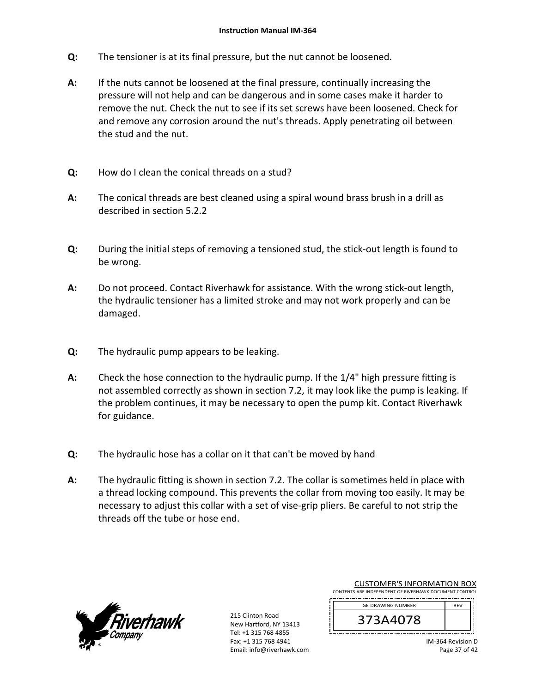- **Q:**  The tensioner is at its final pressure, but the nut cannot be loosened.
- **A:**  If the nuts cannot be loosened at the final pressure, continually increasing the pressure will not help and can be dangerous and in some cases make it harder to remove the nut. Check the nut to see if its set screws have been loosened. Check for and remove any corrosion around the nut's threads. Apply penetrating oil between the stud and the nut.
- **Q:**  How do I clean the conical threads on a stud?
- **A:**  The conical threads are best cleaned using a spiral wound brass brush in a drill as described in section 5.2.2
- **Q:**  During the initial steps of removing a tensioned stud, the stick‐out length is found to be wrong.
- **A:**  Do not proceed. Contact Riverhawk for assistance. With the wrong stick‐out length, the hydraulic tensioner has a limited stroke and may not work properly and can be damaged.
- **Q:**  The hydraulic pump appears to be leaking.
- **A:**  Check the hose connection to the hydraulic pump. If the 1/4" high pressure fitting is not assembled correctly as shown in section 7.2, it may look like the pump is leaking. If the problem continues, it may be necessary to open the pump kit. Contact Riverhawk for guidance.
- **Q:**  The hydraulic hose has a collar on it that can't be moved by hand
- **A:**  The hydraulic fitting is shown in section 7.2. The collar is sometimes held in place with a thread locking compound. This prevents the collar from moving too easily. It may be necessary to adjust this collar with a set of vise‐grip pliers. Be careful to not strip the threads off the tube or hose end.



215 Clinton Road New Hartford, NY 13413 Tel: +1 315 768 4855 Fax: +1 315 768 4941 Email: info@riverhawk.com

| CONTENTS ARE INDEPENDENT OF RIVERHAWK DOCUMENT CONTROL |            |  |
|--------------------------------------------------------|------------|--|
| <b>GE DRAWING NUMBER</b>                               | <b>RFV</b> |  |
| 373A4078                                               |            |  |

CUSTOMER'S INFORMATION BOX

IM‐364 Revision D Page 37 of 42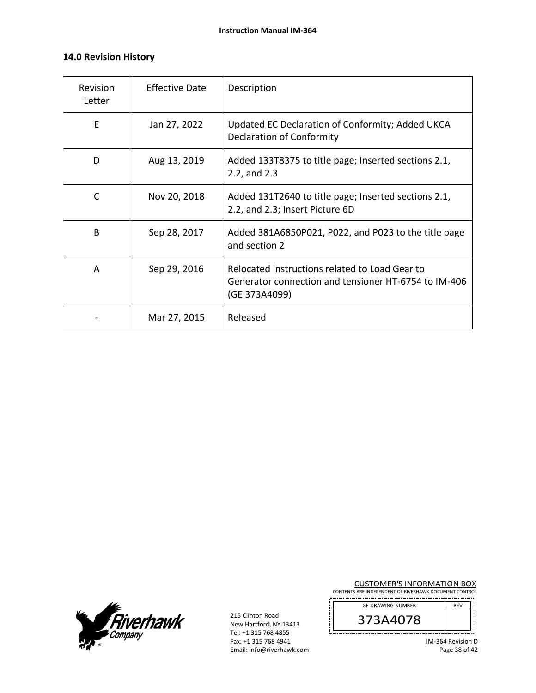### **14.0 Revision History**

| <b>Revision</b><br>Letter | <b>Effective Date</b> | Description                                                                                                             |
|---------------------------|-----------------------|-------------------------------------------------------------------------------------------------------------------------|
| E                         | Jan 27, 2022          | Updated EC Declaration of Conformity; Added UKCA<br><b>Declaration of Conformity</b>                                    |
| D                         | Aug 13, 2019          | Added 133T8375 to title page; Inserted sections 2.1,<br>2.2, and 2.3                                                    |
| C                         | Nov 20, 2018          | Added 131T2640 to title page; Inserted sections 2.1,<br>2.2, and 2.3; Insert Picture 6D                                 |
| B                         | Sep 28, 2017          | Added 381A6850P021, P022, and P023 to the title page<br>and section 2                                                   |
| A                         | Sep 29, 2016          | Relocated instructions related to Load Gear to<br>Generator connection and tensioner HT-6754 to IM-406<br>(GE 373A4099) |
|                           | Mar 27, 2015          | Released                                                                                                                |



215 Clinton Road New Hartford, NY 13413 Tel: +1 315 768 4855 Fax: +1 315 768 4941 Email: info@riverhawk.com  $\prod_{i=1}^{n}$ 

CUSTOMER'S INFORMATION BOX

CONTENTS ARE INDEPENDENT OF RIVERHAWK DOCUMENT CONTROL 

| <b>GE DRAWING NUMBER</b> | <b>REV</b> |
|--------------------------|------------|
| 78                       |            |
|                          |            |

IM‐364 Revision D Page 38 of 42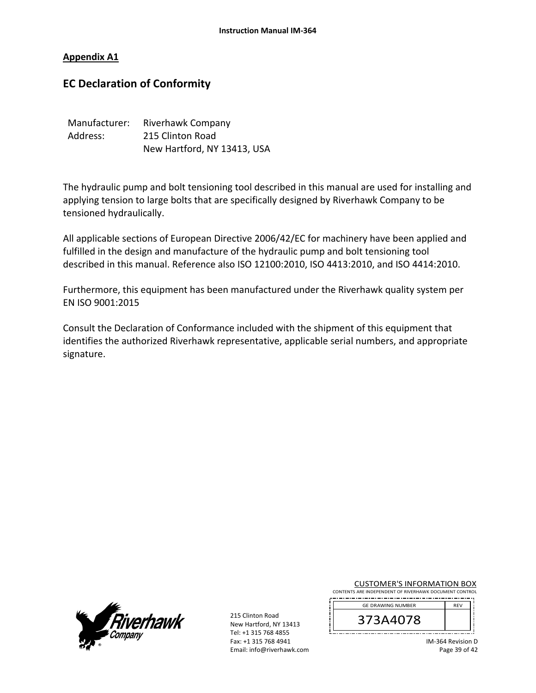#### **Appendix A1**

# **EC Declaration of Conformity**

| Manufacturer: | Riverhawk Company           |
|---------------|-----------------------------|
| Address:      | 215 Clinton Road            |
|               | New Hartford, NY 13413, USA |

The hydraulic pump and bolt tensioning tool described in this manual are used for installing and applying tension to large bolts that are specifically designed by Riverhawk Company to be tensioned hydraulically.

All applicable sections of European Directive 2006/42/EC for machinery have been applied and fulfilled in the design and manufacture of the hydraulic pump and bolt tensioning tool described in this manual. Reference also ISO 12100:2010, ISO 4413:2010, and ISO 4414:2010.

Furthermore, this equipment has been manufactured under the Riverhawk quality system per EN ISO 9001:2015

Consult the Declaration of Conformance included with the shipment of this equipment that identifies the authorized Riverhawk representative, applicable serial numbers, and appropriate signature.



215 Clinton Road New Hartford, NY 13413 Tel: +1 315 768 4855 Fax: +1 315 768 4941 Email: info@riverhawk.com

|  |  | <b>CUSTOMER'S INFORMATION BOX</b>                      |  |  |
|--|--|--------------------------------------------------------|--|--|
|  |  | CONTENTS ARE INDEPENDENT OF RIVERHAWK DOCUMENT CONTROL |  |  |

| <b>GE DRAWING NUMBER</b> | <b>RFV</b> |
|--------------------------|------------|
| 3A4U78'<br>⊃             |            |

IM‐364 Revision D Page 39 of 42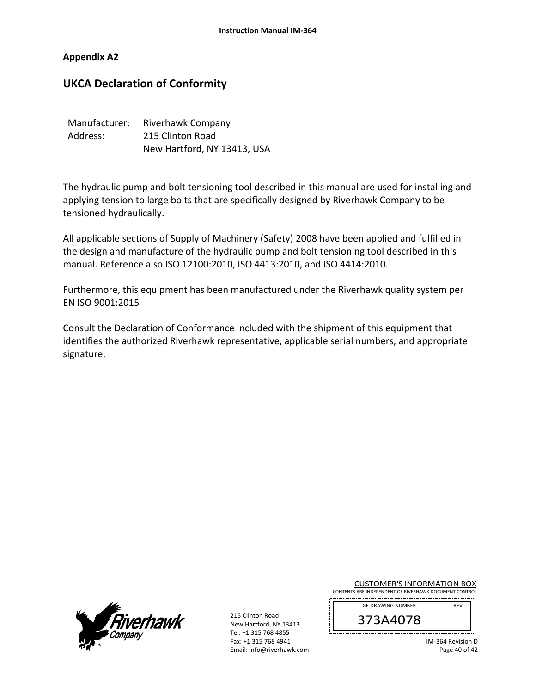#### **Appendix A2**

# **UKCA Declaration of Conformity**

| Manufacturer: | Riverhawk Company           |  |  |
|---------------|-----------------------------|--|--|
| Address:      | 215 Clinton Road            |  |  |
|               | New Hartford, NY 13413, USA |  |  |

The hydraulic pump and bolt tensioning tool described in this manual are used for installing and applying tension to large bolts that are specifically designed by Riverhawk Company to be tensioned hydraulically.

All applicable sections of Supply of Machinery (Safety) 2008 have been applied and fulfilled in the design and manufacture of the hydraulic pump and bolt tensioning tool described in this manual. Reference also ISO 12100:2010, ISO 4413:2010, and ISO 4414:2010.

Furthermore, this equipment has been manufactured under the Riverhawk quality system per EN ISO 9001:2015

Consult the Declaration of Conformance included with the shipment of this equipment that identifies the authorized Riverhawk representative, applicable serial numbers, and appropriate signature.



215 Clinton Road New Hartford, NY 13413 Tel: +1 315 768 4855 Fax: +1 315 768 4941 Email: info@riverhawk.com

|  |  | <b>CUSTOMER'S INFORMATION BOX</b>                      |  |  |
|--|--|--------------------------------------------------------|--|--|
|  |  | CONTENTS ARE INDEPENDENT OF RIVERHAWK DOCUMENT CONTROL |  |  |

| <b>GE DRAWING NUMBER</b> | <b>REV</b> |
|--------------------------|------------|
| 3A4078<br>⊃              |            |

IM‐364 Revision D Page 40 of 42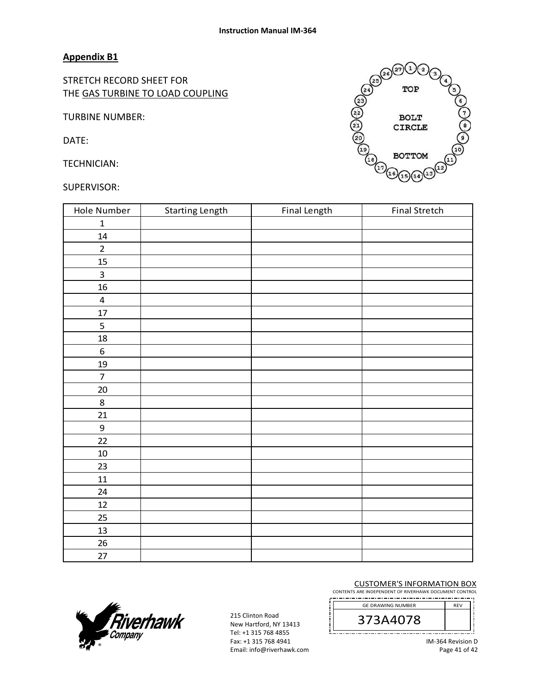#### **Appendix B1**

STRETCH RECORD SHEET FOR THE GAS TURBINE TO LOAD COUPLING

TURBINE NUMBER:

DATE:

TECHNICIAN:

#### SUPERVISOR:

| Hole Number             | <b>Starting Length</b> | Final Length | <b>Final Stretch</b> |
|-------------------------|------------------------|--------------|----------------------|
| $\mathbf{1}$            |                        |              |                      |
| ${\bf 14}$              |                        |              |                      |
| $\overline{2}$          |                        |              |                      |
| 15                      |                        |              |                      |
| $\overline{\mathbf{3}}$ |                        |              |                      |
| 16                      |                        |              |                      |
| $\pmb{4}$               |                        |              |                      |
| $17\,$                  |                        |              |                      |
| 5                       |                        |              |                      |
| $18\,$                  |                        |              |                      |
| $\boldsymbol{6}$        |                        |              |                      |
| $19\,$                  |                        |              |                      |
| $\overline{7}$          |                        |              |                      |
| $20\,$                  |                        |              |                      |
| $\bf 8$                 |                        |              |                      |
| 21                      |                        |              |                      |
| $\boldsymbol{9}$        |                        |              |                      |
| 22                      |                        |              |                      |
| $10\,$                  |                        |              |                      |
| 23                      |                        |              |                      |
| 11                      |                        |              |                      |
| 24                      |                        |              |                      |
| $12\,$                  |                        |              |                      |
| 25                      |                        |              |                      |
| 13                      |                        |              |                      |
| 26                      |                        |              |                      |
| 27                      |                        |              |                      |



#### CUSTOMER'S INFORMATION BOX

CONTENTS ARE INDEPENDENT OF RIVERHAWK DOCUMENT CONTROL 





215 Clinton Road New Hartford, NY 13413 Tel: +1 315 768 4855 Fax: +1 315 768 4941 Email: info@riverhawk.com

IM‐364 Revision D Page 41 of 42